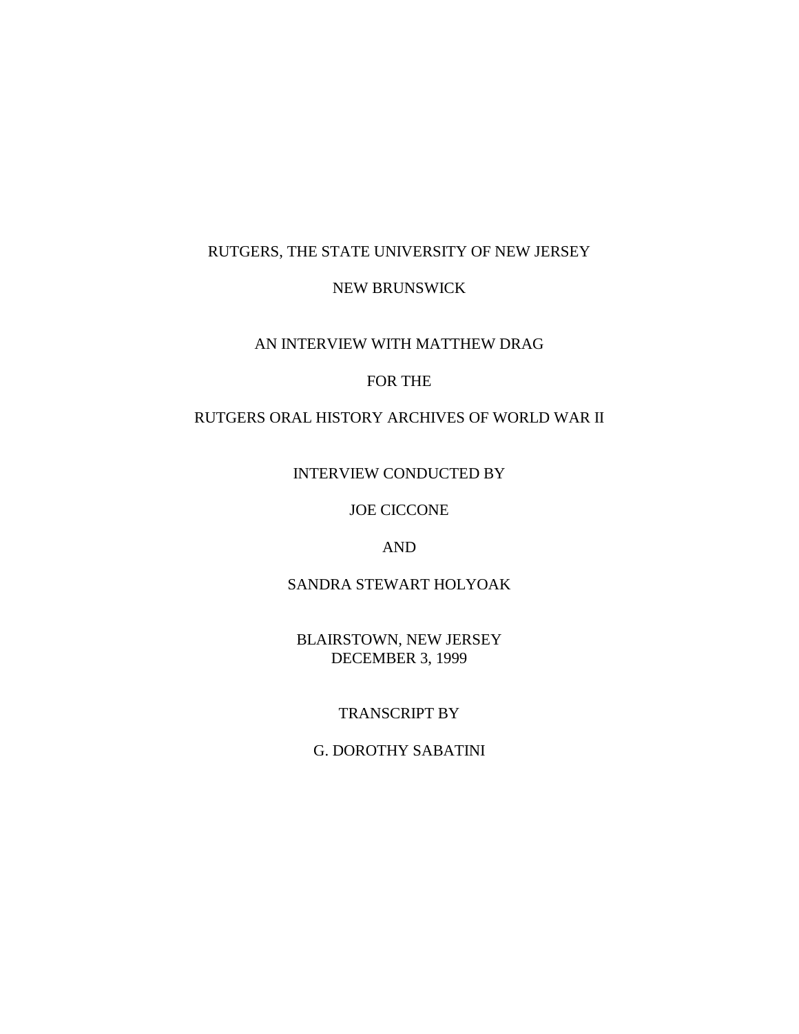## RUTGERS, THE STATE UNIVERSITY OF NEW JERSEY

## NEW BRUNSWICK

### AN INTERVIEW WITH MATTHEW DRAG

#### FOR THE

## RUTGERS ORAL HISTORY ARCHIVES OF WORLD WAR II

INTERVIEW CONDUCTED BY

JOE CICCONE

AND

SANDRA STEWART HOLYOAK

BLAIRSTOWN, NEW JERSEY DECEMBER 3, 1999

# TRANSCRIPT BY

G. DOROTHY SABATINI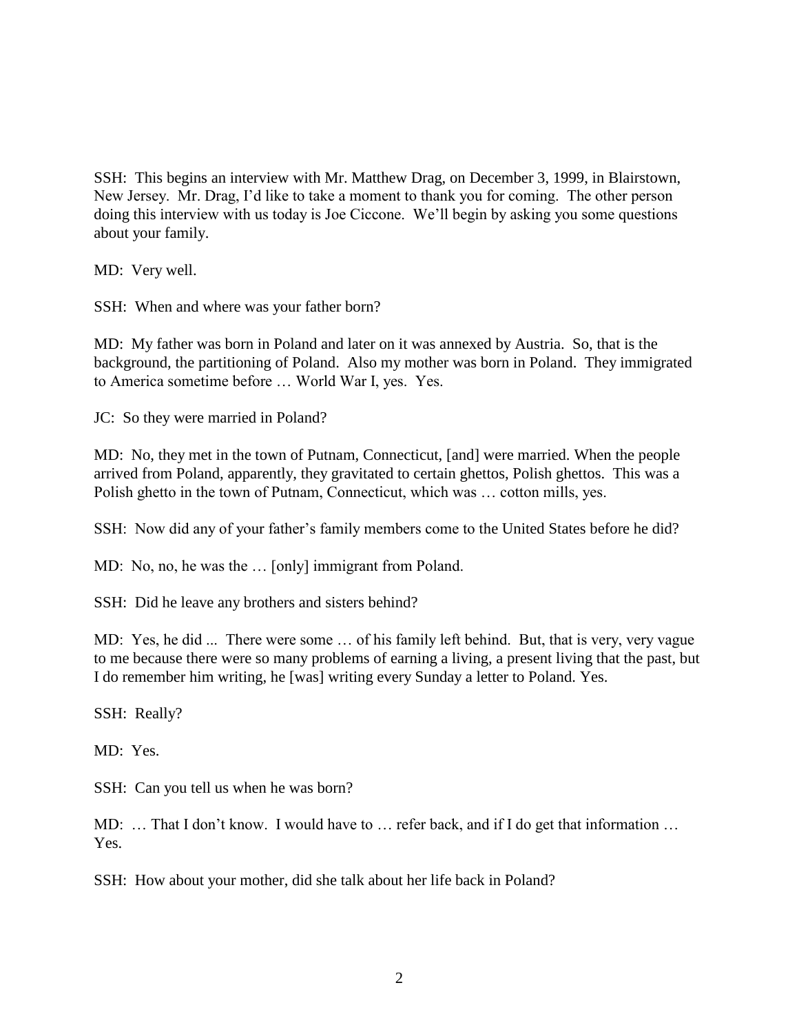SSH: This begins an interview with Mr. Matthew Drag, on December 3, 1999, in Blairstown, New Jersey. Mr. Drag, I'd like to take a moment to thank you for coming. The other person doing this interview with us today is Joe Ciccone. We'll begin by asking you some questions about your family.

MD: Very well.

SSH: When and where was your father born?

MD: My father was born in Poland and later on it was annexed by Austria. So, that is the background, the partitioning of Poland. Also my mother was born in Poland. They immigrated to America sometime before … World War I, yes. Yes.

JC: So they were married in Poland?

MD: No, they met in the town of Putnam, Connecticut, [and] were married. When the people arrived from Poland, apparently, they gravitated to certain ghettos, Polish ghettos. This was a Polish ghetto in the town of Putnam, Connecticut, which was … cotton mills, yes.

SSH: Now did any of your father's family members come to the United States before he did?

MD: No, no, he was the … [only] immigrant from Poland.

SSH: Did he leave any brothers and sisters behind?

MD: Yes, he did ... There were some … of his family left behind. But, that is very, very vague to me because there were so many problems of earning a living, a present living that the past, but I do remember him writing, he [was] writing every Sunday a letter to Poland. Yes.

SSH: Really?

MD: Yes.

SSH: Can you tell us when he was born?

MD: ... That I don't know. I would have to ... refer back, and if I do get that information ... Yes.

SSH: How about your mother, did she talk about her life back in Poland?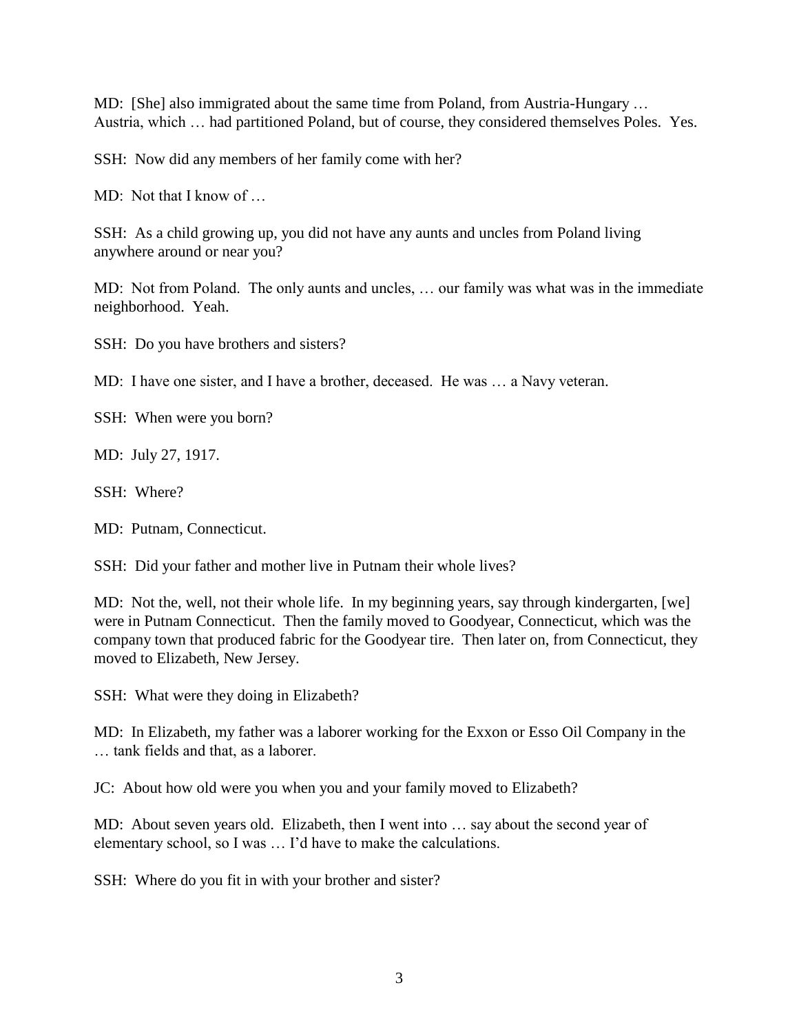MD: [She] also immigrated about the same time from Poland, from Austria-Hungary … Austria, which … had partitioned Poland, but of course, they considered themselves Poles. Yes.

SSH: Now did any members of her family come with her?

MD: Not that I know of ...

SSH: As a child growing up, you did not have any aunts and uncles from Poland living anywhere around or near you?

MD: Not from Poland. The only aunts and uncles, … our family was what was in the immediate neighborhood. Yeah.

SSH: Do you have brothers and sisters?

MD: I have one sister, and I have a brother, deceased. He was … a Navy veteran.

SSH: When were you born?

MD: July 27, 1917.

SSH: Where?

MD: Putnam, Connecticut.

SSH: Did your father and mother live in Putnam their whole lives?

MD: Not the, well, not their whole life. In my beginning years, say through kindergarten, [we] were in Putnam Connecticut. Then the family moved to Goodyear, Connecticut, which was the company town that produced fabric for the Goodyear tire. Then later on, from Connecticut, they moved to Elizabeth, New Jersey.

SSH: What were they doing in Elizabeth?

MD: In Elizabeth, my father was a laborer working for the Exxon or Esso Oil Company in the … tank fields and that, as a laborer.

JC: About how old were you when you and your family moved to Elizabeth?

MD: About seven years old. Elizabeth, then I went into … say about the second year of elementary school, so I was … I'd have to make the calculations.

SSH: Where do you fit in with your brother and sister?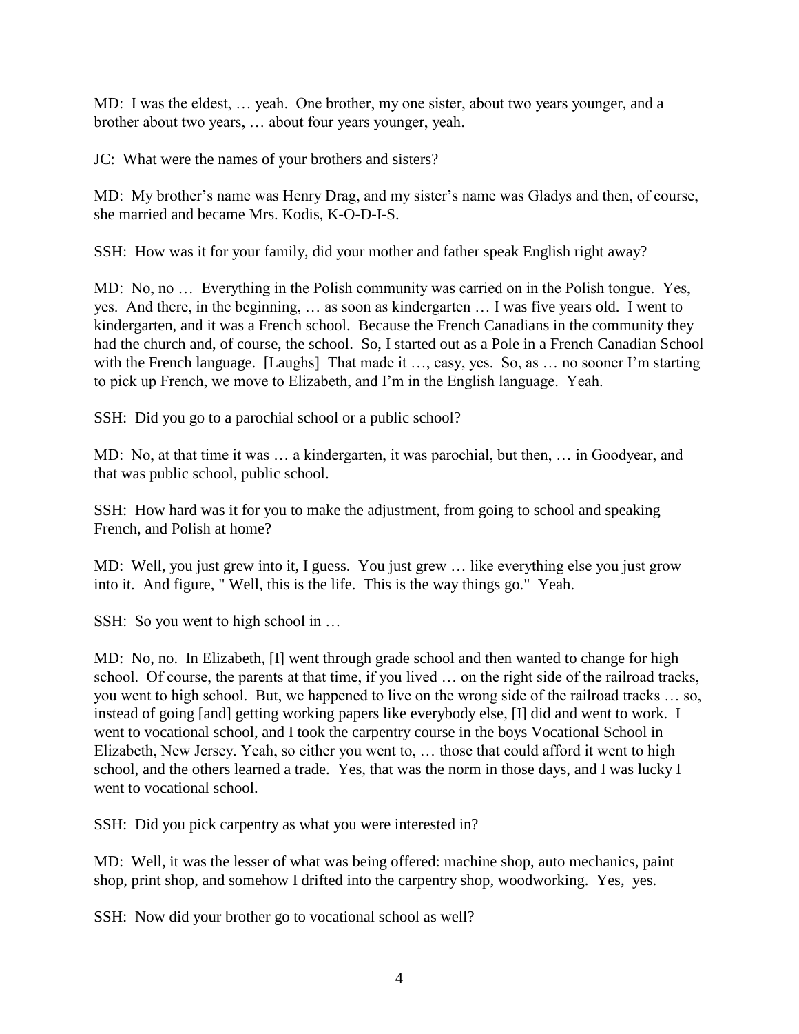MD: I was the eldest, … yeah. One brother, my one sister, about two years younger, and a brother about two years, … about four years younger, yeah.

JC: What were the names of your brothers and sisters?

MD: My brother's name was Henry Drag, and my sister's name was Gladys and then, of course, she married and became Mrs. Kodis, K-O-D-I-S.

SSH: How was it for your family, did your mother and father speak English right away?

MD: No, no … Everything in the Polish community was carried on in the Polish tongue. Yes, yes. And there, in the beginning, … as soon as kindergarten … I was five years old. I went to kindergarten, and it was a French school. Because the French Canadians in the community they had the church and, of course, the school. So, I started out as a Pole in a French Canadian School with the French language. [Laughs] That made it ..., easy, yes. So, as ... no sooner I'm starting to pick up French, we move to Elizabeth, and I'm in the English language. Yeah.

SSH: Did you go to a parochial school or a public school?

MD: No, at that time it was … a kindergarten, it was parochial, but then, … in Goodyear, and that was public school, public school.

SSH: How hard was it for you to make the adjustment, from going to school and speaking French, and Polish at home?

MD: Well, you just grew into it, I guess. You just grew … like everything else you just grow into it. And figure, " Well, this is the life. This is the way things go." Yeah.

SSH: So you went to high school in ...

MD: No, no. In Elizabeth, [I] went through grade school and then wanted to change for high school. Of course, the parents at that time, if you lived … on the right side of the railroad tracks, you went to high school. But, we happened to live on the wrong side of the railroad tracks … so, instead of going [and] getting working papers like everybody else, [I] did and went to work. I went to vocational school, and I took the carpentry course in the boys Vocational School in Elizabeth, New Jersey. Yeah, so either you went to, … those that could afford it went to high school, and the others learned a trade. Yes, that was the norm in those days, and I was lucky I went to vocational school.

SSH: Did you pick carpentry as what you were interested in?

MD: Well, it was the lesser of what was being offered: machine shop, auto mechanics, paint shop, print shop, and somehow I drifted into the carpentry shop, woodworking. Yes, yes.

SSH: Now did your brother go to vocational school as well?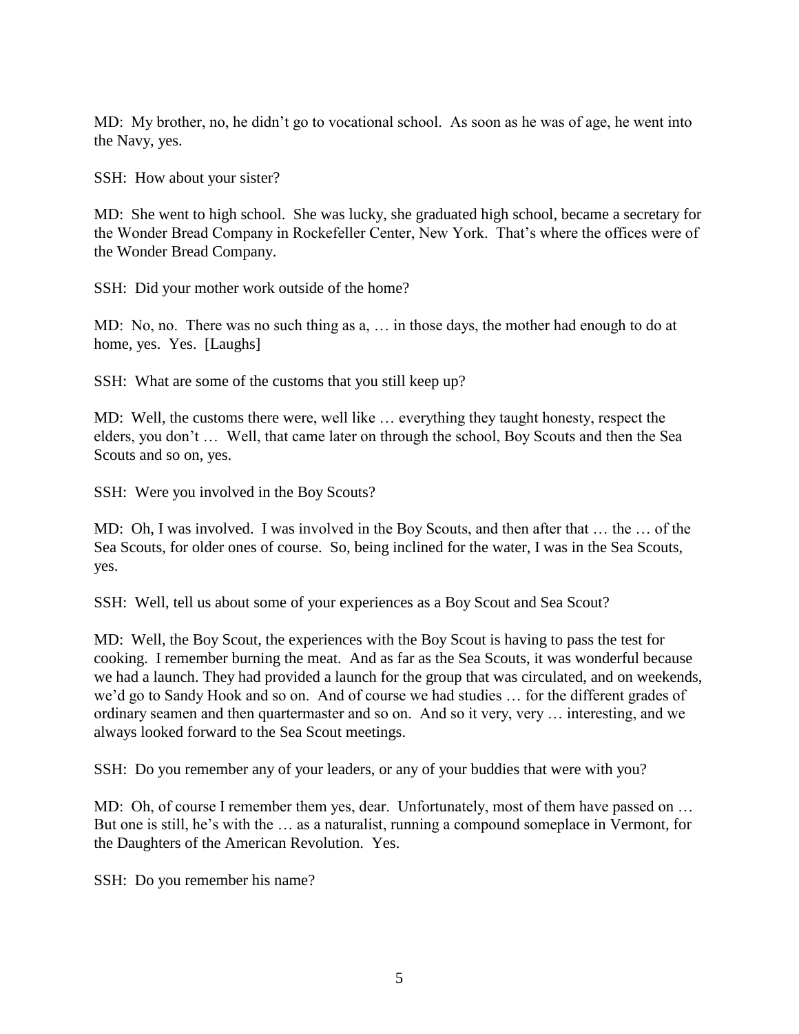MD: My brother, no, he didn't go to vocational school. As soon as he was of age, he went into the Navy, yes.

SSH: How about your sister?

MD: She went to high school. She was lucky, she graduated high school, became a secretary for the Wonder Bread Company in Rockefeller Center, New York. That's where the offices were of the Wonder Bread Company.

SSH: Did your mother work outside of the home?

MD: No, no. There was no such thing as a, … in those days, the mother had enough to do at home, yes. Yes. [Laughs]

SSH: What are some of the customs that you still keep up?

MD: Well, the customs there were, well like … everything they taught honesty, respect the elders, you don't … Well, that came later on through the school, Boy Scouts and then the Sea Scouts and so on, yes.

SSH: Were you involved in the Boy Scouts?

MD: Oh, I was involved. I was involved in the Boy Scouts, and then after that … the … of the Sea Scouts, for older ones of course. So, being inclined for the water, I was in the Sea Scouts, yes.

SSH: Well, tell us about some of your experiences as a Boy Scout and Sea Scout?

MD: Well, the Boy Scout, the experiences with the Boy Scout is having to pass the test for cooking. I remember burning the meat. And as far as the Sea Scouts, it was wonderful because we had a launch. They had provided a launch for the group that was circulated, and on weekends, we'd go to Sandy Hook and so on. And of course we had studies … for the different grades of ordinary seamen and then quartermaster and so on. And so it very, very … interesting, and we always looked forward to the Sea Scout meetings.

SSH: Do you remember any of your leaders, or any of your buddies that were with you?

MD: Oh, of course I remember them yes, dear. Unfortunately, most of them have passed on ... But one is still, he's with the … as a naturalist, running a compound someplace in Vermont, for the Daughters of the American Revolution. Yes.

SSH: Do you remember his name?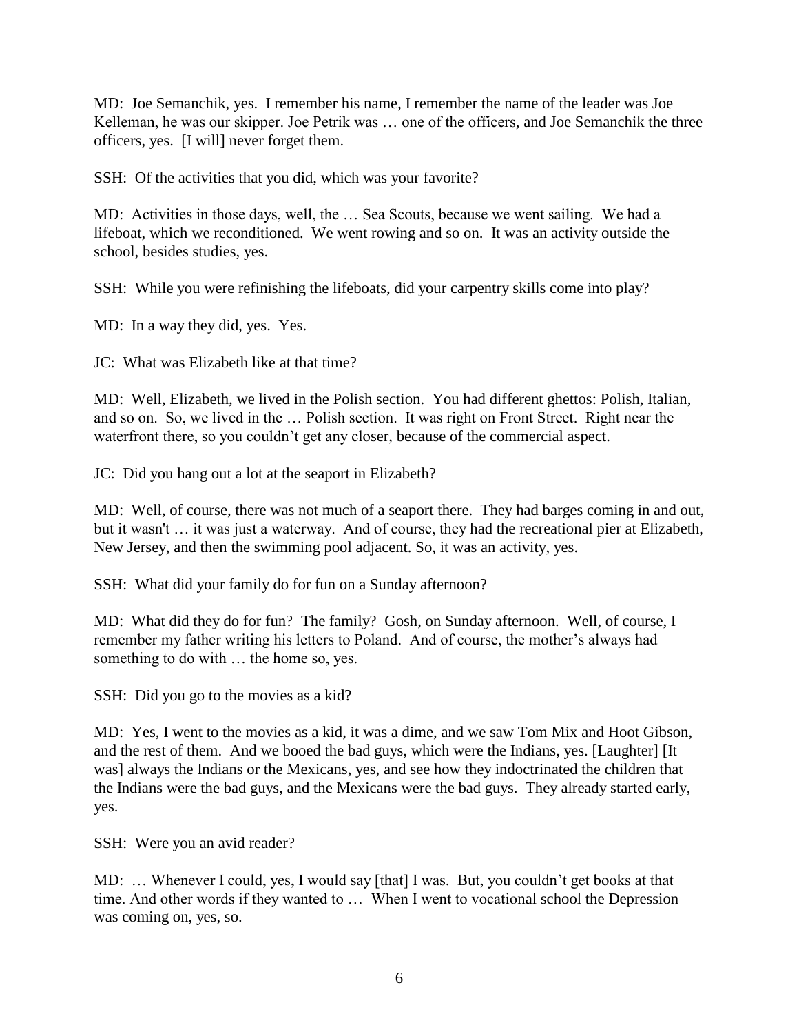MD: Joe Semanchik, yes. I remember his name, I remember the name of the leader was Joe Kelleman, he was our skipper. Joe Petrik was … one of the officers, and Joe Semanchik the three officers, yes. [I will] never forget them.

SSH: Of the activities that you did, which was your favorite?

MD: Activities in those days, well, the … Sea Scouts, because we went sailing. We had a lifeboat, which we reconditioned. We went rowing and so on. It was an activity outside the school, besides studies, yes.

SSH: While you were refinishing the lifeboats, did your carpentry skills come into play?

MD: In a way they did, yes. Yes.

JC: What was Elizabeth like at that time?

MD: Well, Elizabeth, we lived in the Polish section. You had different ghettos: Polish, Italian, and so on. So, we lived in the … Polish section. It was right on Front Street. Right near the waterfront there, so you couldn't get any closer, because of the commercial aspect.

JC: Did you hang out a lot at the seaport in Elizabeth?

MD: Well, of course, there was not much of a seaport there. They had barges coming in and out, but it wasn't … it was just a waterway. And of course, they had the recreational pier at Elizabeth, New Jersey, and then the swimming pool adjacent. So, it was an activity, yes.

SSH: What did your family do for fun on a Sunday afternoon?

MD: What did they do for fun? The family? Gosh, on Sunday afternoon. Well, of course, I remember my father writing his letters to Poland. And of course, the mother's always had something to do with … the home so, yes.

SSH: Did you go to the movies as a kid?

MD: Yes, I went to the movies as a kid, it was a dime, and we saw Tom Mix and Hoot Gibson, and the rest of them. And we booed the bad guys, which were the Indians, yes. [Laughter] [It was] always the Indians or the Mexicans, yes, and see how they indoctrinated the children that the Indians were the bad guys, and the Mexicans were the bad guys. They already started early, yes.

SSH: Were you an avid reader?

MD: … Whenever I could, yes, I would say [that] I was. But, you couldn't get books at that time. And other words if they wanted to … When I went to vocational school the Depression was coming on, yes, so.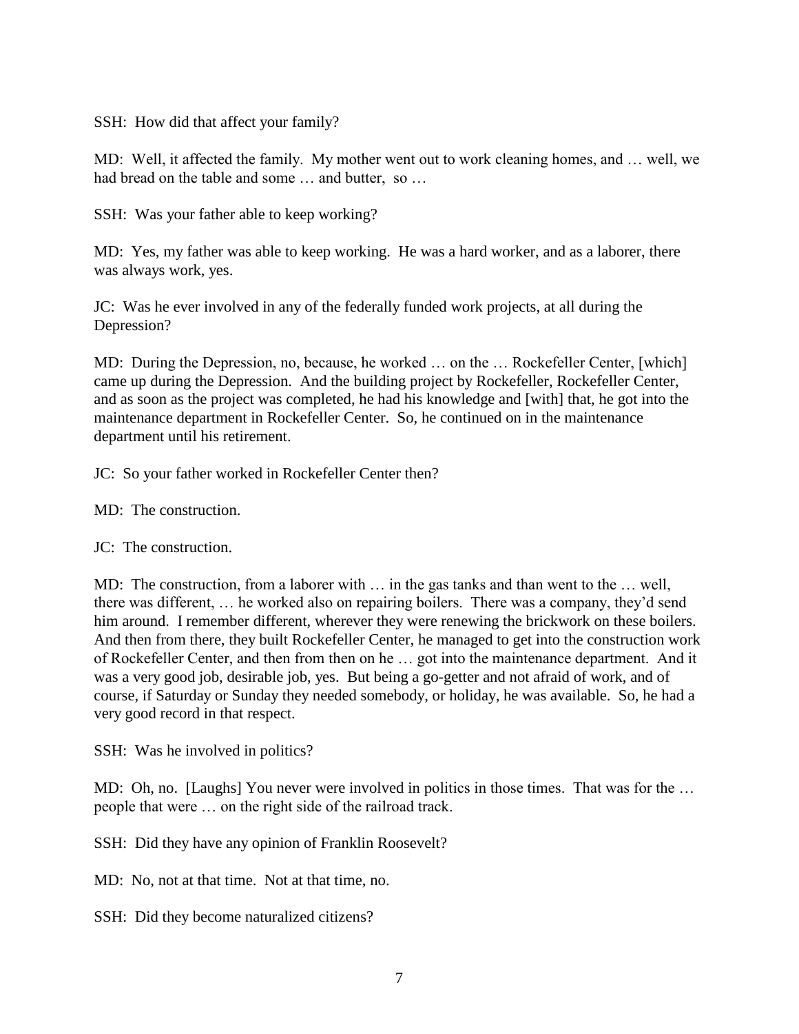SSH: How did that affect your family?

MD: Well, it affected the family. My mother went out to work cleaning homes, and … well, we had bread on the table and some ... and butter, so ...

SSH: Was your father able to keep working?

MD: Yes, my father was able to keep working. He was a hard worker, and as a laborer, there was always work, yes.

JC: Was he ever involved in any of the federally funded work projects, at all during the Depression?

MD: During the Depression, no, because, he worked ... on the ... Rockefeller Center, [which] came up during the Depression. And the building project by Rockefeller, Rockefeller Center, and as soon as the project was completed, he had his knowledge and [with] that, he got into the maintenance department in Rockefeller Center. So, he continued on in the maintenance department until his retirement.

JC: So your father worked in Rockefeller Center then?

MD: The construction.

JC: The construction.

MD: The construction, from a laborer with … in the gas tanks and than went to the … well, there was different, … he worked also on repairing boilers. There was a company, they'd send him around. I remember different, wherever they were renewing the brickwork on these boilers. And then from there, they built Rockefeller Center, he managed to get into the construction work of Rockefeller Center, and then from then on he … got into the maintenance department. And it was a very good job, desirable job, yes. But being a go-getter and not afraid of work, and of course, if Saturday or Sunday they needed somebody, or holiday, he was available. So, he had a very good record in that respect.

SSH: Was he involved in politics?

MD: Oh, no. [Laughs] You never were involved in politics in those times. That was for the … people that were … on the right side of the railroad track.

SSH: Did they have any opinion of Franklin Roosevelt?

MD: No, not at that time. Not at that time, no.

SSH: Did they become naturalized citizens?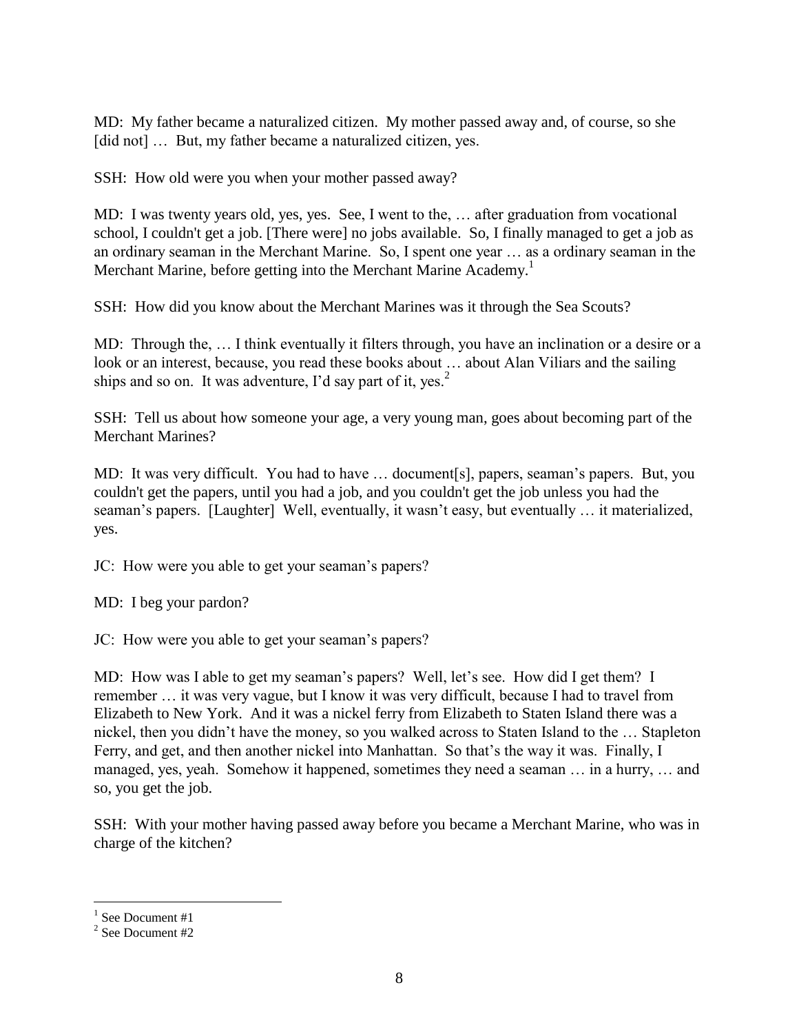MD: My father became a naturalized citizen. My mother passed away and, of course, so she [did not] ... But, my father became a naturalized citizen, yes.

SSH: How old were you when your mother passed away?

MD: I was twenty years old, yes, yes. See, I went to the, … after graduation from vocational school, I couldn't get a job. [There were] no jobs available. So, I finally managed to get a job as an ordinary seaman in the Merchant Marine. So, I spent one year … as a ordinary seaman in the Merchant Marine, before getting into the Merchant Marine Academy.<sup>1</sup>

SSH: How did you know about the Merchant Marines was it through the Sea Scouts?

MD: Through the, … I think eventually it filters through, you have an inclination or a desire or a look or an interest, because, you read these books about ... about Alan Viliars and the sailing ships and so on. It was adventure, I'd say part of it, yes.<sup>2</sup>

SSH: Tell us about how someone your age, a very young man, goes about becoming part of the Merchant Marines?

MD: It was very difficult. You had to have … document[s], papers, seaman's papers. But, you couldn't get the papers, until you had a job, and you couldn't get the job unless you had the seaman's papers. [Laughter] Well, eventually, it wasn't easy, but eventually … it materialized, yes.

JC: How were you able to get your seaman's papers?

MD: I beg your pardon?

JC: How were you able to get your seaman's papers?

MD: How was I able to get my seaman's papers? Well, let's see. How did I get them? I remember … it was very vague, but I know it was very difficult, because I had to travel from Elizabeth to New York. And it was a nickel ferry from Elizabeth to Staten Island there was a nickel, then you didn't have the money, so you walked across to Staten Island to the … Stapleton Ferry, and get, and then another nickel into Manhattan. So that's the way it was. Finally, I managed, yes, yeah. Somehow it happened, sometimes they need a seaman … in a hurry, … and so, you get the job.

SSH: With your mother having passed away before you became a Merchant Marine, who was in charge of the kitchen?

<sup>&</sup>lt;sup>1</sup> See Document #1

<sup>2</sup> See Document #2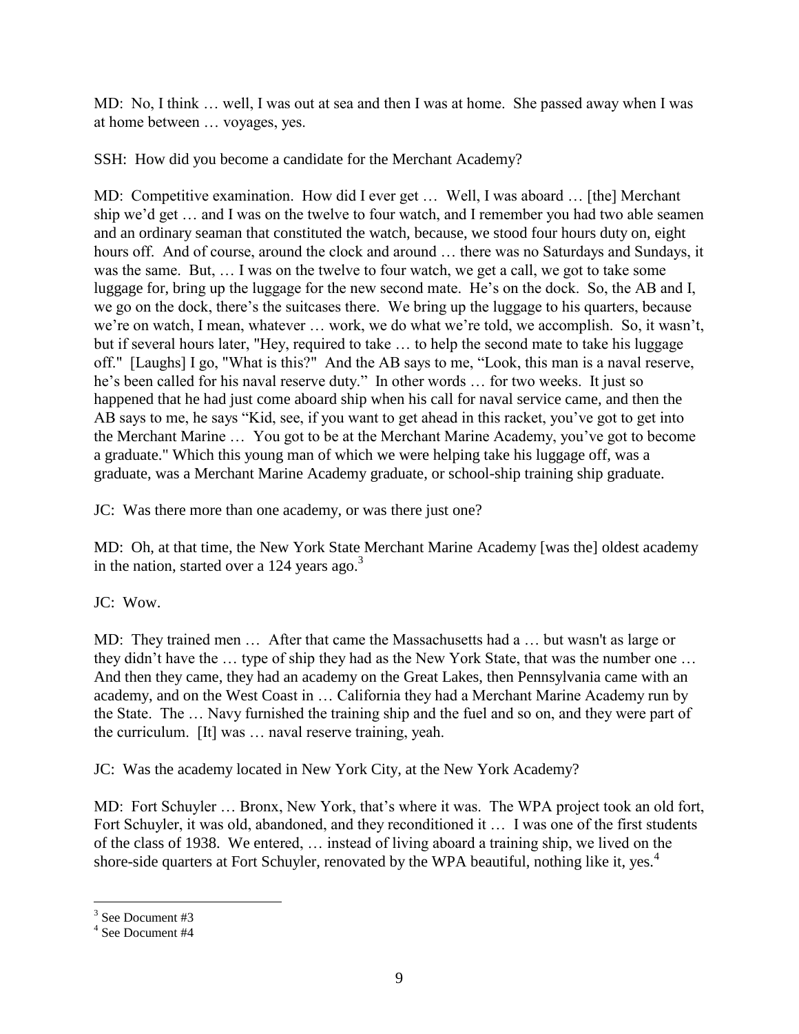MD: No, I think … well, I was out at sea and then I was at home. She passed away when I was at home between … voyages, yes.

SSH: How did you become a candidate for the Merchant Academy?

MD: Competitive examination. How did I ever get … Well, I was aboard … [the] Merchant ship we'd get … and I was on the twelve to four watch, and I remember you had two able seamen and an ordinary seaman that constituted the watch, because, we stood four hours duty on, eight hours off. And of course, around the clock and around … there was no Saturdays and Sundays, it was the same. But, … I was on the twelve to four watch, we get a call, we got to take some luggage for, bring up the luggage for the new second mate. He's on the dock. So, the AB and I, we go on the dock, there's the suitcases there. We bring up the luggage to his quarters, because we're on watch, I mean, whatever … work, we do what we're told, we accomplish. So, it wasn't, but if several hours later, "Hey, required to take … to help the second mate to take his luggage off." [Laughs] I go, "What is this?" And the AB says to me, "Look, this man is a naval reserve, he's been called for his naval reserve duty." In other words … for two weeks. It just so happened that he had just come aboard ship when his call for naval service came, and then the AB says to me, he says "Kid, see, if you want to get ahead in this racket, you've got to get into the Merchant Marine … You got to be at the Merchant Marine Academy, you've got to become a graduate." Which this young man of which we were helping take his luggage off, was a graduate, was a Merchant Marine Academy graduate, or school-ship training ship graduate.

JC: Was there more than one academy, or was there just one?

MD: Oh, at that time, the New York State Merchant Marine Academy [was the] oldest academy in the nation, started over a 124 years ago. $3$ 

JC: Wow.

MD: They trained men … After that came the Massachusetts had a … but wasn't as large or they didn't have the … type of ship they had as the New York State, that was the number one … And then they came, they had an academy on the Great Lakes, then Pennsylvania came with an academy, and on the West Coast in … California they had a Merchant Marine Academy run by the State. The … Navy furnished the training ship and the fuel and so on, and they were part of the curriculum. [It] was … naval reserve training, yeah.

JC: Was the academy located in New York City, at the New York Academy?

MD: Fort Schuyler … Bronx, New York, that's where it was. The WPA project took an old fort, Fort Schuyler, it was old, abandoned, and they reconditioned it … I was one of the first students of the class of 1938. We entered, … instead of living aboard a training ship, we lived on the shore-side quarters at Fort Schuyler, renovated by the WPA beautiful, nothing like it, yes.<sup>4</sup>

<sup>3</sup> See Document #3

<sup>4</sup> See Document #4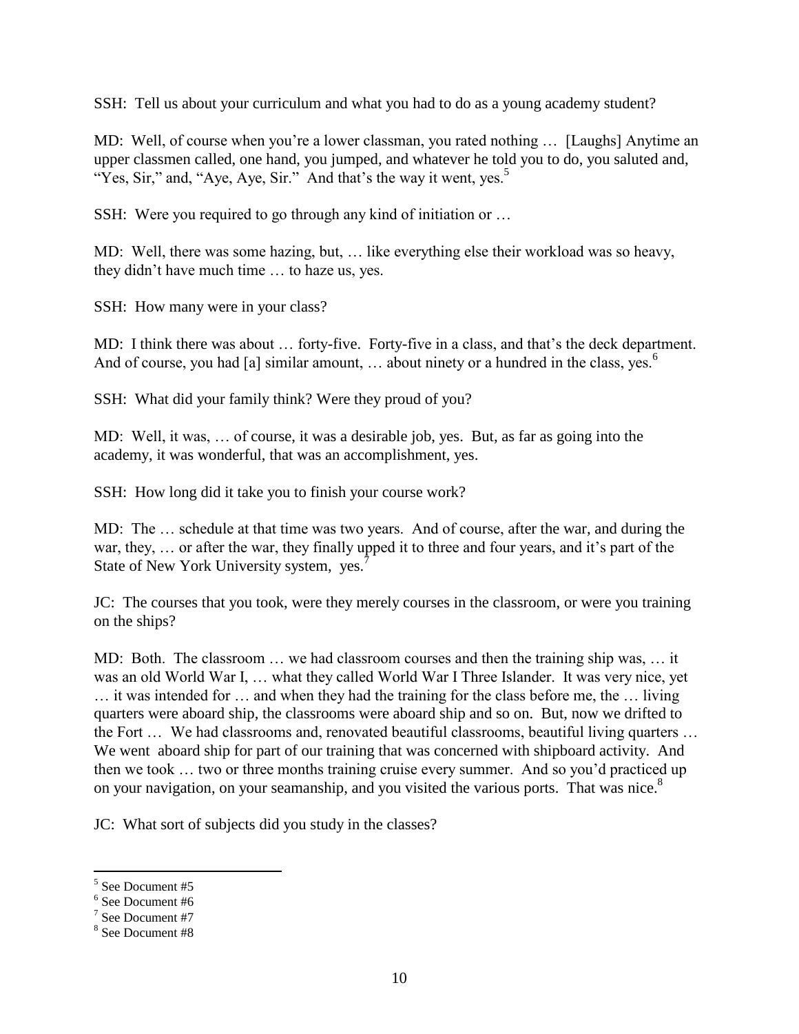SSH: Tell us about your curriculum and what you had to do as a young academy student?

MD: Well, of course when you're a lower classman, you rated nothing ... [Laughs] Anytime an upper classmen called, one hand, you jumped, and whatever he told you to do, you saluted and, "Yes, Sir," and, "Aye, Aye, Sir." And that's the way it went, yes.<sup>5</sup>

SSH: Were you required to go through any kind of initiation or …

MD: Well, there was some hazing, but, … like everything else their workload was so heavy, they didn't have much time … to haze us, yes.

SSH: How many were in your class?

MD: I think there was about … forty-five. Forty-five in a class, and that's the deck department. And of course, you had [a] similar amount,  $\ldots$  about ninety or a hundred in the class, yes.<sup>6</sup>

SSH: What did your family think? Were they proud of you?

MD: Well, it was, … of course, it was a desirable job, yes. But, as far as going into the academy, it was wonderful, that was an accomplishment, yes.

SSH: How long did it take you to finish your course work?

MD: The … schedule at that time was two years. And of course, after the war, and during the war, they, … or after the war, they finally upped it to three and four years, and it's part of the State of New York University system, yes.<sup>7</sup>

JC: The courses that you took, were they merely courses in the classroom, or were you training on the ships?

MD: Both. The classroom … we had classroom courses and then the training ship was, … it was an old World War I, … what they called World War I Three Islander. It was very nice, yet … it was intended for … and when they had the training for the class before me, the … living quarters were aboard ship, the classrooms were aboard ship and so on. But, now we drifted to the Fort … We had classrooms and, renovated beautiful classrooms, beautiful living quarters … We went aboard ship for part of our training that was concerned with shipboard activity. And then we took … two or three months training cruise every summer. And so you'd practiced up on your navigation, on your seamanship, and you visited the various ports. That was nice.<sup>8</sup>

JC: What sort of subjects did you study in the classes?

<sup>5</sup> See Document #5

<sup>6</sup> See Document #6

<sup>7</sup> See Document #7

<sup>8</sup> See Document #8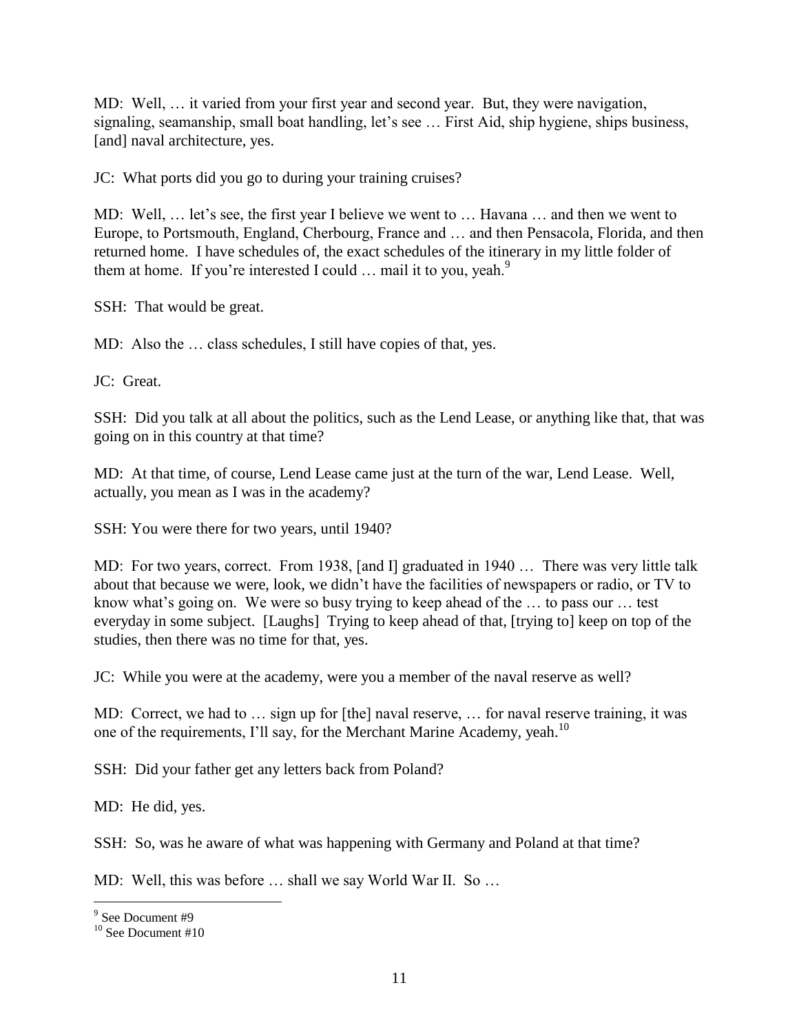MD: Well, … it varied from your first year and second year. But, they were navigation, signaling, seamanship, small boat handling, let's see … First Aid, ship hygiene, ships business, [and] naval architecture, yes.

JC: What ports did you go to during your training cruises?

MD: Well, … let's see, the first year I believe we went to … Havana … and then we went to Europe, to Portsmouth, England, Cherbourg, France and … and then Pensacola, Florida, and then returned home. I have schedules of, the exact schedules of the itinerary in my little folder of them at home. If you're interested I could  $\ldots$  mail it to you, yeah.<sup>9</sup>

SSH: That would be great.

MD: Also the … class schedules, I still have copies of that, yes.

JC: Great.

SSH: Did you talk at all about the politics, such as the Lend Lease, or anything like that, that was going on in this country at that time?

MD: At that time, of course, Lend Lease came just at the turn of the war, Lend Lease. Well, actually, you mean as I was in the academy?

SSH: You were there for two years, until 1940?

MD: For two years, correct. From 1938, [and I] graduated in 1940 … There was very little talk about that because we were, look, we didn't have the facilities of newspapers or radio, or TV to know what's going on. We were so busy trying to keep ahead of the … to pass our … test everyday in some subject. [Laughs] Trying to keep ahead of that, [trying to] keep on top of the studies, then there was no time for that, yes.

JC: While you were at the academy, were you a member of the naval reserve as well?

MD: Correct, we had to … sign up for [the] naval reserve, … for naval reserve training, it was one of the requirements, I'll say, for the Merchant Marine Academy, yeah.<sup>10</sup>

SSH: Did your father get any letters back from Poland?

MD: He did, yes.

SSH: So, was he aware of what was happening with Germany and Poland at that time?

MD: Well, this was before … shall we say World War II. So …

<sup>&</sup>lt;sup>9</sup> See Document #9

<sup>&</sup>lt;sup>10</sup> See Document #10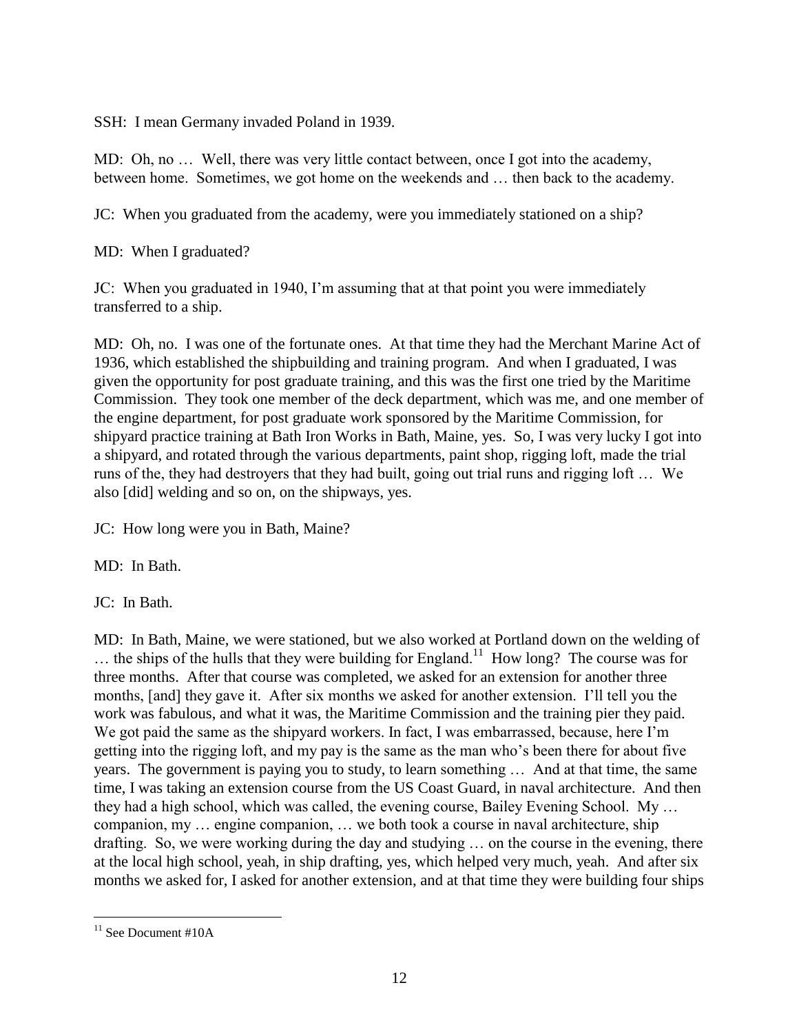SSH: I mean Germany invaded Poland in 1939.

MD: Oh, no … Well, there was very little contact between, once I got into the academy, between home. Sometimes, we got home on the weekends and … then back to the academy.

JC: When you graduated from the academy, were you immediately stationed on a ship?

MD: When I graduated?

JC: When you graduated in 1940, I'm assuming that at that point you were immediately transferred to a ship.

MD: Oh, no. I was one of the fortunate ones. At that time they had the Merchant Marine Act of 1936, which established the shipbuilding and training program. And when I graduated, I was given the opportunity for post graduate training, and this was the first one tried by the Maritime Commission. They took one member of the deck department, which was me, and one member of the engine department, for post graduate work sponsored by the Maritime Commission, for shipyard practice training at Bath Iron Works in Bath, Maine, yes. So, I was very lucky I got into a shipyard, and rotated through the various departments, paint shop, rigging loft, made the trial runs of the, they had destroyers that they had built, going out trial runs and rigging loft … We also [did] welding and so on, on the shipways, yes.

JC: How long were you in Bath, Maine?

MD: In Bath.

JC: In Bath.

MD: In Bath, Maine, we were stationed, but we also worked at Portland down on the welding of  $\ldots$  the ships of the hulls that they were building for England.<sup>11</sup> How long? The course was for three months. After that course was completed, we asked for an extension for another three months, [and] they gave it. After six months we asked for another extension. I'll tell you the work was fabulous, and what it was, the Maritime Commission and the training pier they paid. We got paid the same as the shipyard workers. In fact, I was embarrassed, because, here I'm getting into the rigging loft, and my pay is the same as the man who's been there for about five years. The government is paying you to study, to learn something … And at that time, the same time, I was taking an extension course from the US Coast Guard, in naval architecture. And then they had a high school, which was called, the evening course, Bailey Evening School. My … companion, my … engine companion, … we both took a course in naval architecture, ship drafting. So, we were working during the day and studying … on the course in the evening, there at the local high school, yeah, in ship drafting, yes, which helped very much, yeah. And after six months we asked for, I asked for another extension, and at that time they were building four ships

 $\overline{a}$  $11$  See Document #10A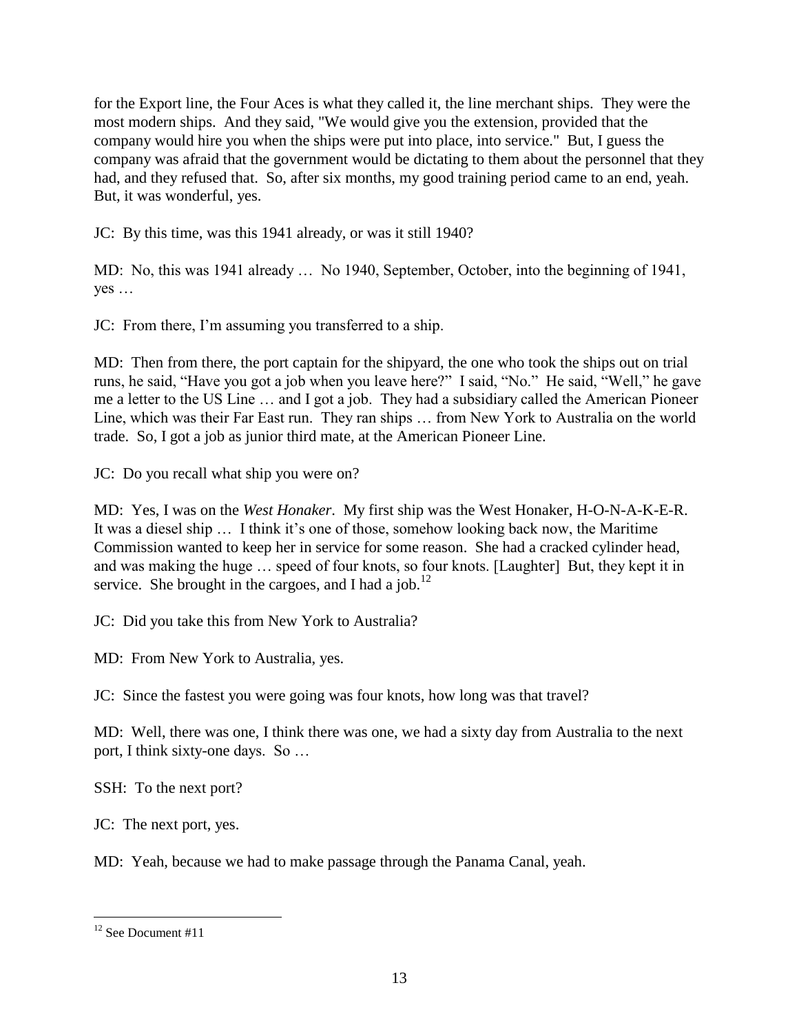for the Export line, the Four Aces is what they called it, the line merchant ships. They were the most modern ships. And they said, "We would give you the extension, provided that the company would hire you when the ships were put into place, into service." But, I guess the company was afraid that the government would be dictating to them about the personnel that they had, and they refused that. So, after six months, my good training period came to an end, yeah. But, it was wonderful, yes.

JC: By this time, was this 1941 already, or was it still 1940?

MD: No, this was 1941 already … No 1940, September, October, into the beginning of 1941, yes …

JC: From there, I'm assuming you transferred to a ship.

MD: Then from there, the port captain for the shipyard, the one who took the ships out on trial runs, he said, "Have you got a job when you leave here?" I said, "No." He said, "Well," he gave me a letter to the US Line … and I got a job. They had a subsidiary called the American Pioneer Line, which was their Far East run. They ran ships … from New York to Australia on the world trade. So, I got a job as junior third mate, at the American Pioneer Line.

JC: Do you recall what ship you were on?

MD: Yes, I was on the *West Honaker*. My first ship was the West Honaker, H-O-N-A-K-E-R. It was a diesel ship … I think it's one of those, somehow looking back now, the Maritime Commission wanted to keep her in service for some reason. She had a cracked cylinder head, and was making the huge … speed of four knots, so four knots. [Laughter] But, they kept it in service. She brought in the cargoes, and I had a job.<sup>12</sup>

JC: Did you take this from New York to Australia?

MD: From New York to Australia, yes.

JC: Since the fastest you were going was four knots, how long was that travel?

MD: Well, there was one, I think there was one, we had a sixty day from Australia to the next port, I think sixty-one days. So …

SSH: To the next port?

JC: The next port, yes.

MD: Yeah, because we had to make passage through the Panama Canal, yeah.

 $12$  See Document #11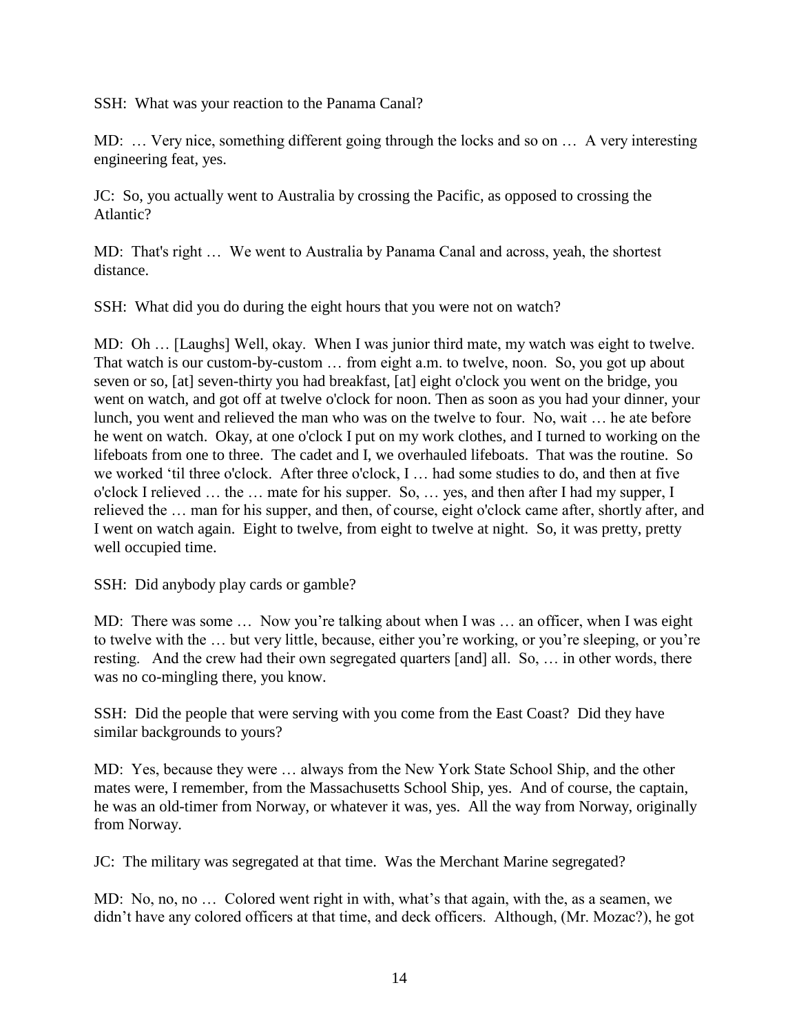SSH: What was your reaction to the Panama Canal?

MD: … Very nice, something different going through the locks and so on … A very interesting engineering feat, yes.

JC: So, you actually went to Australia by crossing the Pacific, as opposed to crossing the Atlantic?

MD: That's right … We went to Australia by Panama Canal and across, yeah, the shortest distance.

SSH: What did you do during the eight hours that you were not on watch?

MD: Oh … [Laughs] Well, okay. When I was junior third mate, my watch was eight to twelve. That watch is our custom-by-custom … from eight a.m. to twelve, noon. So, you got up about seven or so, [at] seven-thirty you had breakfast, [at] eight o'clock you went on the bridge, you went on watch, and got off at twelve o'clock for noon. Then as soon as you had your dinner, your lunch, you went and relieved the man who was on the twelve to four. No, wait … he ate before he went on watch. Okay, at one o'clock I put on my work clothes, and I turned to working on the lifeboats from one to three. The cadet and I, we overhauled lifeboats. That was the routine. So we worked 'til three o'clock. After three o'clock, I … had some studies to do, and then at five o'clock I relieved … the … mate for his supper. So, … yes, and then after I had my supper, I relieved the … man for his supper, and then, of course, eight o'clock came after, shortly after, and I went on watch again. Eight to twelve, from eight to twelve at night. So, it was pretty, pretty well occupied time.

SSH: Did anybody play cards or gamble?

MD: There was some ... Now you're talking about when I was ... an officer, when I was eight to twelve with the … but very little, because, either you're working, or you're sleeping, or you're resting. And the crew had their own segregated quarters [and] all. So, … in other words, there was no co-mingling there, you know.

SSH: Did the people that were serving with you come from the East Coast? Did they have similar backgrounds to yours?

MD: Yes, because they were … always from the New York State School Ship, and the other mates were, I remember, from the Massachusetts School Ship, yes. And of course, the captain, he was an old-timer from Norway, or whatever it was, yes. All the way from Norway, originally from Norway.

JC: The military was segregated at that time. Was the Merchant Marine segregated?

MD: No, no, no … Colored went right in with, what's that again, with the, as a seamen, we didn't have any colored officers at that time, and deck officers. Although, (Mr. Mozac?), he got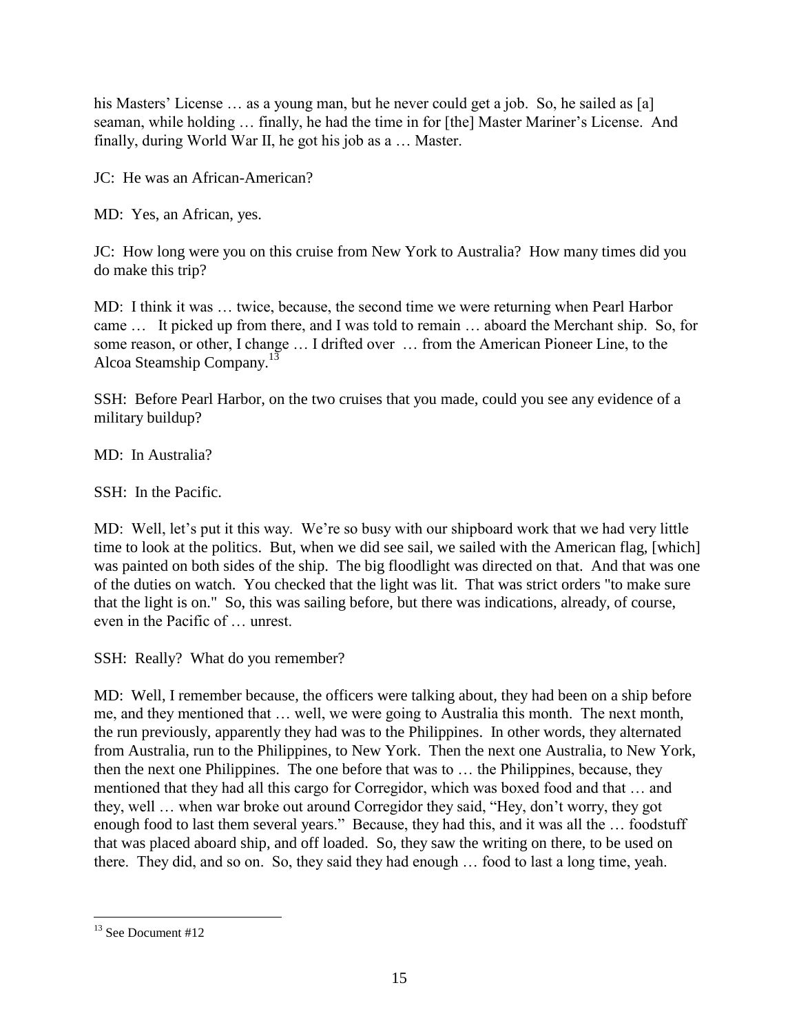his Masters' License ... as a young man, but he never could get a job. So, he sailed as [a] seaman, while holding … finally, he had the time in for [the] Master Mariner's License. And finally, during World War II, he got his job as a … Master.

JC: He was an African-American?

MD: Yes, an African, yes.

JC: How long were you on this cruise from New York to Australia? How many times did you do make this trip?

MD: I think it was … twice, because, the second time we were returning when Pearl Harbor came … It picked up from there, and I was told to remain … aboard the Merchant ship. So, for some reason, or other, I change … I drifted over … from the American Pioneer Line, to the Alcoa Steamship Company.<sup>13</sup>

SSH: Before Pearl Harbor, on the two cruises that you made, could you see any evidence of a military buildup?

MD: In Australia?

SSH: In the Pacific.

MD: Well, let's put it this way. We're so busy with our shipboard work that we had very little time to look at the politics. But, when we did see sail, we sailed with the American flag, [which] was painted on both sides of the ship. The big floodlight was directed on that. And that was one of the duties on watch. You checked that the light was lit. That was strict orders "to make sure that the light is on." So, this was sailing before, but there was indications, already, of course, even in the Pacific of … unrest.

SSH: Really? What do you remember?

MD: Well, I remember because, the officers were talking about, they had been on a ship before me, and they mentioned that … well, we were going to Australia this month. The next month, the run previously, apparently they had was to the Philippines. In other words, they alternated from Australia, run to the Philippines, to New York. Then the next one Australia, to New York, then the next one Philippines. The one before that was to … the Philippines, because, they mentioned that they had all this cargo for Corregidor, which was boxed food and that … and they, well … when war broke out around Corregidor they said, "Hey, don't worry, they got enough food to last them several years." Because, they had this, and it was all the … foodstuff that was placed aboard ship, and off loaded. So, they saw the writing on there, to be used on there. They did, and so on. So, they said they had enough … food to last a long time, yeah.

 $\overline{a}$  $13$  See Document #12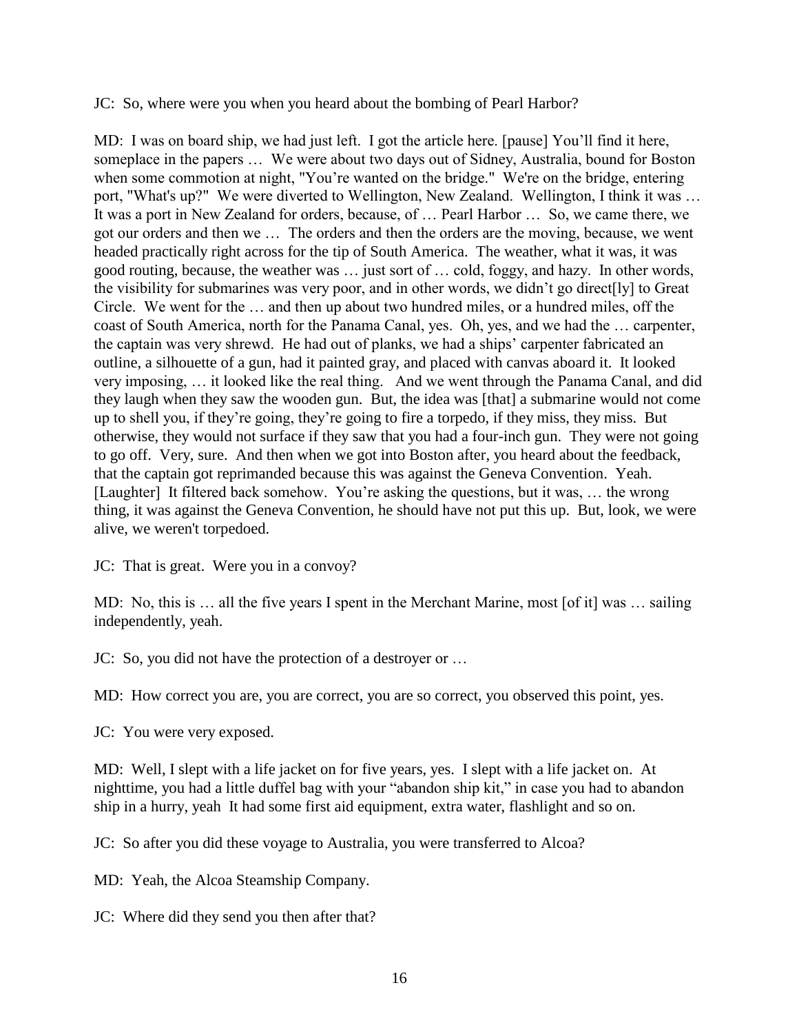JC: So, where were you when you heard about the bombing of Pearl Harbor?

MD: I was on board ship, we had just left. I got the article here. [pause] You'll find it here, someplace in the papers … We were about two days out of Sidney, Australia, bound for Boston when some commotion at night, "You're wanted on the bridge." We're on the bridge, entering port, "What's up?" We were diverted to Wellington, New Zealand. Wellington, I think it was … It was a port in New Zealand for orders, because, of … Pearl Harbor … So, we came there, we got our orders and then we … The orders and then the orders are the moving, because, we went headed practically right across for the tip of South America. The weather, what it was, it was good routing, because, the weather was … just sort of … cold, foggy, and hazy. In other words, the visibility for submarines was very poor, and in other words, we didn't go direct[ly] to Great Circle. We went for the … and then up about two hundred miles, or a hundred miles, off the coast of South America, north for the Panama Canal, yes. Oh, yes, and we had the … carpenter, the captain was very shrewd. He had out of planks, we had a ships' carpenter fabricated an outline, a silhouette of a gun, had it painted gray, and placed with canvas aboard it. It looked very imposing, … it looked like the real thing. And we went through the Panama Canal, and did they laugh when they saw the wooden gun. But, the idea was [that] a submarine would not come up to shell you, if they're going, they're going to fire a torpedo, if they miss, they miss. But otherwise, they would not surface if they saw that you had a four-inch gun. They were not going to go off. Very, sure. And then when we got into Boston after, you heard about the feedback, that the captain got reprimanded because this was against the Geneva Convention. Yeah. [Laughter] It filtered back somehow. You're asking the questions, but it was, … the wrong thing, it was against the Geneva Convention, he should have not put this up. But, look, we were alive, we weren't torpedoed.

JC: That is great. Were you in a convoy?

MD: No, this is … all the five years I spent in the Merchant Marine, most [of it] was … sailing independently, yeah.

JC: So, you did not have the protection of a destroyer or …

MD: How correct you are, you are correct, you are so correct, you observed this point, yes.

JC: You were very exposed.

MD: Well, I slept with a life jacket on for five years, yes. I slept with a life jacket on. At nighttime, you had a little duffel bag with your "abandon ship kit," in case you had to abandon ship in a hurry, yeah It had some first aid equipment, extra water, flashlight and so on.

JC: So after you did these voyage to Australia, you were transferred to Alcoa?

MD: Yeah, the Alcoa Steamship Company.

JC: Where did they send you then after that?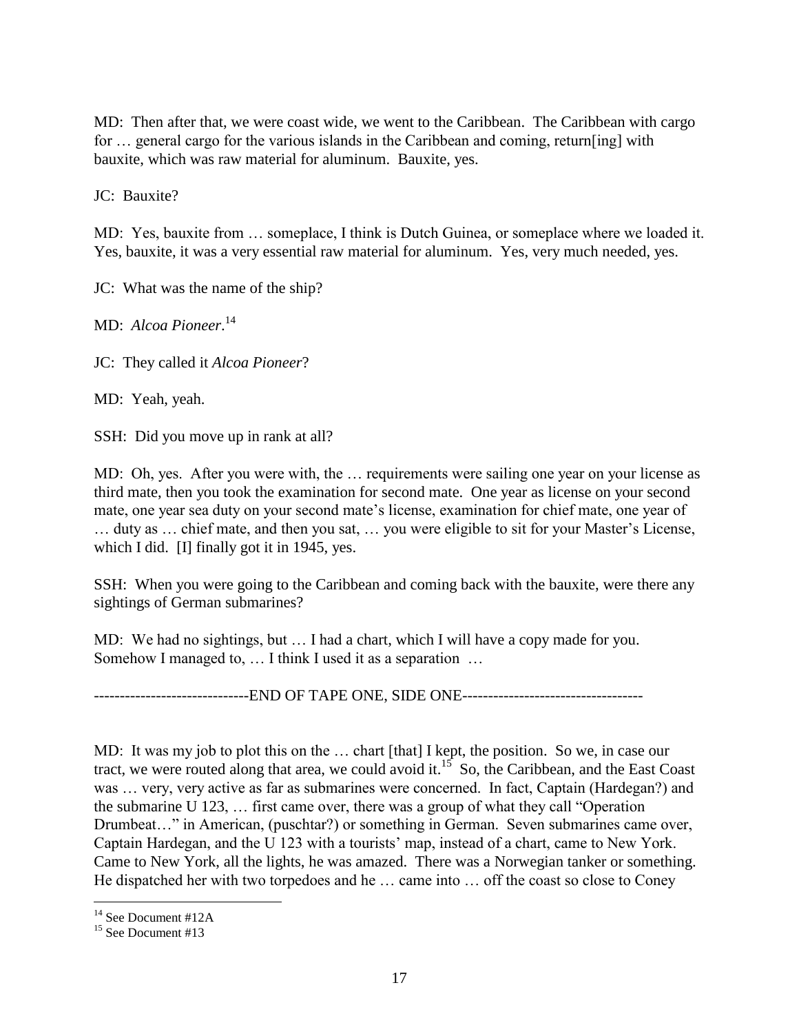MD: Then after that, we were coast wide, we went to the Caribbean. The Caribbean with cargo for … general cargo for the various islands in the Caribbean and coming, return[ing] with bauxite, which was raw material for aluminum. Bauxite, yes.

JC: Bauxite?

MD: Yes, bauxite from … someplace, I think is Dutch Guinea, or someplace where we loaded it. Yes, bauxite, it was a very essential raw material for aluminum. Yes, very much needed, yes.

JC: What was the name of the ship?

MD: *Alcoa Pioneer*. 14

JC: They called it *Alcoa Pioneer*?

MD: Yeah, yeah.

SSH: Did you move up in rank at all?

MD: Oh, yes. After you were with, the … requirements were sailing one year on your license as third mate, then you took the examination for second mate. One year as license on your second mate, one year sea duty on your second mate's license, examination for chief mate, one year of … duty as … chief mate, and then you sat, … you were eligible to sit for your Master's License, which I did. [I] finally got it in 1945, yes.

SSH: When you were going to the Caribbean and coming back with the bauxite, were there any sightings of German submarines?

MD: We had no sightings, but … I had a chart, which I will have a copy made for you. Somehow I managed to, … I think I used it as a separation …

------------------------------END OF TAPE ONE, SIDE ONE-----------------------------------

MD: It was my job to plot this on the ... chart [that] I kept, the position. So we, in case our tract, we were routed along that area, we could avoid it.<sup>15</sup> So, the Caribbean, and the East Coast was … very, very active as far as submarines were concerned. In fact, Captain (Hardegan?) and the submarine U 123, … first came over, there was a group of what they call "Operation Drumbeat…" in American, (puschtar?) or something in German. Seven submarines came over, Captain Hardegan, and the U 123 with a tourists' map, instead of a chart, came to New York. Came to New York, all the lights, he was amazed. There was a Norwegian tanker or something. He dispatched her with two torpedoes and he … came into … off the coast so close to Coney

<sup>&</sup>lt;sup>14</sup> See Document #12A

<sup>&</sup>lt;sup>15</sup> See Document #13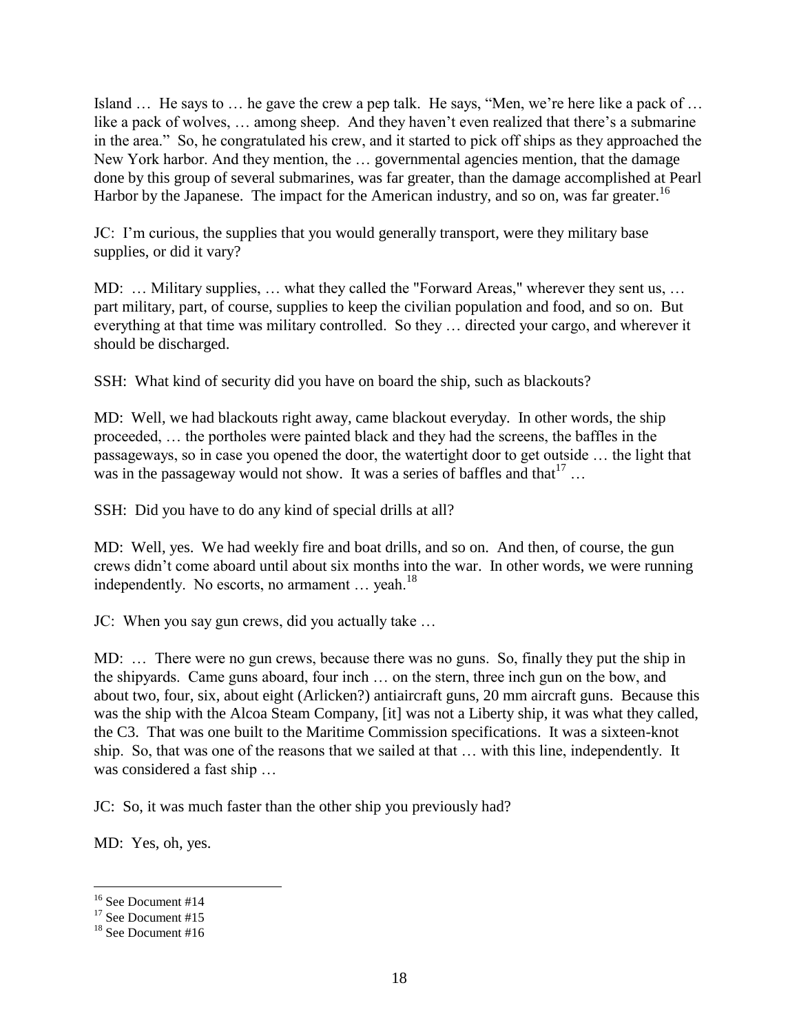Island … He says to … he gave the crew a pep talk. He says, "Men, we're here like a pack of … like a pack of wolves, … among sheep. And they haven't even realized that there's a submarine in the area." So, he congratulated his crew, and it started to pick off ships as they approached the New York harbor. And they mention, the … governmental agencies mention, that the damage done by this group of several submarines, was far greater, than the damage accomplished at Pearl Harbor by the Japanese. The impact for the American industry, and so on, was far greater.<sup>16</sup>

JC: I'm curious, the supplies that you would generally transport, were they military base supplies, or did it vary?

MD: ... Military supplies, ... what they called the "Forward Areas," wherever they sent us, ... part military, part, of course, supplies to keep the civilian population and food, and so on. But everything at that time was military controlled. So they … directed your cargo, and wherever it should be discharged.

SSH: What kind of security did you have on board the ship, such as blackouts?

MD: Well, we had blackouts right away, came blackout everyday. In other words, the ship proceeded, … the portholes were painted black and they had the screens, the baffles in the passageways, so in case you opened the door, the watertight door to get outside … the light that was in the passageway would not show. It was a series of baffles and that  $17$ ...

SSH: Did you have to do any kind of special drills at all?

MD: Well, yes. We had weekly fire and boat drills, and so on. And then, of course, the gun crews didn't come aboard until about six months into the war. In other words, we were running independently. No escorts, no armament  $\ldots$  yeah.<sup>18</sup>

JC: When you say gun crews, did you actually take …

MD: … There were no gun crews, because there was no guns. So, finally they put the ship in the shipyards. Came guns aboard, four inch … on the stern, three inch gun on the bow, and about two, four, six, about eight (Arlicken?) antiaircraft guns, 20 mm aircraft guns. Because this was the ship with the Alcoa Steam Company, [it] was not a Liberty ship, it was what they called, the C3. That was one built to the Maritime Commission specifications. It was a sixteen-knot ship. So, that was one of the reasons that we sailed at that … with this line, independently. It was considered a fast ship …

JC: So, it was much faster than the other ship you previously had?

MD: Yes, oh, yes.

<sup>&</sup>lt;sup>16</sup> See Document #14

 $17$  See Document #15

<sup>&</sup>lt;sup>18</sup> See Document #16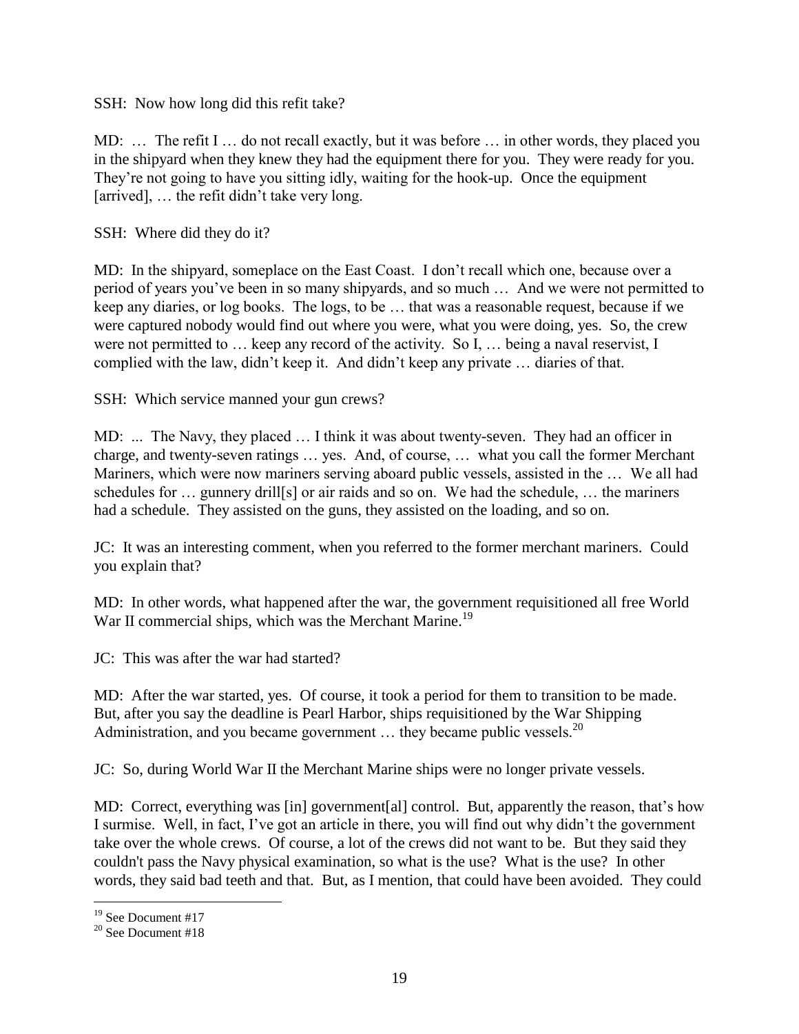SSH: Now how long did this refit take?

MD: … The refit I … do not recall exactly, but it was before … in other words, they placed you in the shipyard when they knew they had the equipment there for you. They were ready for you. They're not going to have you sitting idly, waiting for the hook-up. Once the equipment [arrived], ... the refit didn't take very long.

SSH: Where did they do it?

MD: In the shipyard, someplace on the East Coast. I don't recall which one, because over a period of years you've been in so many shipyards, and so much … And we were not permitted to keep any diaries, or log books. The logs, to be … that was a reasonable request, because if we were captured nobody would find out where you were, what you were doing, yes. So, the crew were not permitted to … keep any record of the activity. So I, … being a naval reservist, I complied with the law, didn't keep it. And didn't keep any private … diaries of that.

SSH: Which service manned your gun crews?

MD: ... The Navy, they placed … I think it was about twenty-seven. They had an officer in charge, and twenty-seven ratings … yes. And, of course, … what you call the former Merchant Mariners, which were now mariners serving aboard public vessels, assisted in the … We all had schedules for … gunnery drill[s] or air raids and so on. We had the schedule, … the mariners had a schedule. They assisted on the guns, they assisted on the loading, and so on.

JC: It was an interesting comment, when you referred to the former merchant mariners. Could you explain that?

MD: In other words, what happened after the war, the government requisitioned all free World War II commercial ships, which was the Merchant Marine.<sup>19</sup>

JC: This was after the war had started?

MD: After the war started, yes. Of course, it took a period for them to transition to be made. But, after you say the deadline is Pearl Harbor, ships requisitioned by the War Shipping Administration, and you became government  $\ldots$  they became public vessels.<sup>20</sup>

JC: So, during World War II the Merchant Marine ships were no longer private vessels.

MD: Correct, everything was [in] government[al] control. But, apparently the reason, that's how I surmise. Well, in fact, I've got an article in there, you will find out why didn't the government take over the whole crews. Of course, a lot of the crews did not want to be. But they said they couldn't pass the Navy physical examination, so what is the use? What is the use? In other words, they said bad teeth and that. But, as I mention, that could have been avoided. They could

<sup>&</sup>lt;sup>19</sup> See Document #17

<sup>20</sup> See Document #18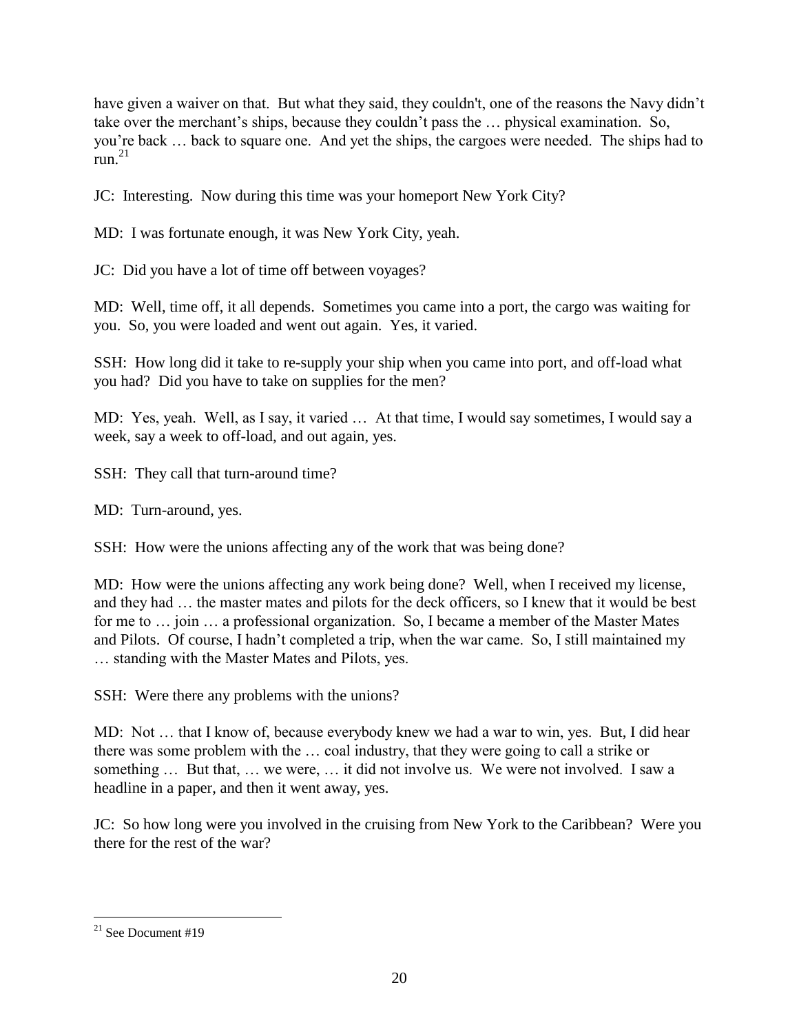have given a waiver on that. But what they said, they couldn't, one of the reasons the Navy didn't take over the merchant's ships, because they couldn't pass the … physical examination. So, you're back … back to square one. And yet the ships, the cargoes were needed. The ships had to  $run<sup>21</sup>$ 

JC: Interesting. Now during this time was your homeport New York City?

MD: I was fortunate enough, it was New York City, yeah.

JC: Did you have a lot of time off between voyages?

MD: Well, time off, it all depends. Sometimes you came into a port, the cargo was waiting for you. So, you were loaded and went out again. Yes, it varied.

SSH: How long did it take to re-supply your ship when you came into port, and off-load what you had? Did you have to take on supplies for the men?

MD: Yes, yeah. Well, as I say, it varied … At that time, I would say sometimes, I would say a week, say a week to off-load, and out again, yes.

SSH: They call that turn-around time?

MD: Turn-around, yes.

SSH: How were the unions affecting any of the work that was being done?

MD: How were the unions affecting any work being done? Well, when I received my license, and they had … the master mates and pilots for the deck officers, so I knew that it would be best for me to ... join ... a professional organization. So, I became a member of the Master Mates and Pilots. Of course, I hadn't completed a trip, when the war came. So, I still maintained my … standing with the Master Mates and Pilots, yes.

SSH: Were there any problems with the unions?

MD: Not … that I know of, because everybody knew we had a war to win, yes. But, I did hear there was some problem with the … coal industry, that they were going to call a strike or something … But that, … we were, … it did not involve us. We were not involved. I saw a headline in a paper, and then it went away, yes.

JC: So how long were you involved in the cruising from New York to the Caribbean? Were you there for the rest of the war?

 $\overline{a}$  $21$  See Document #19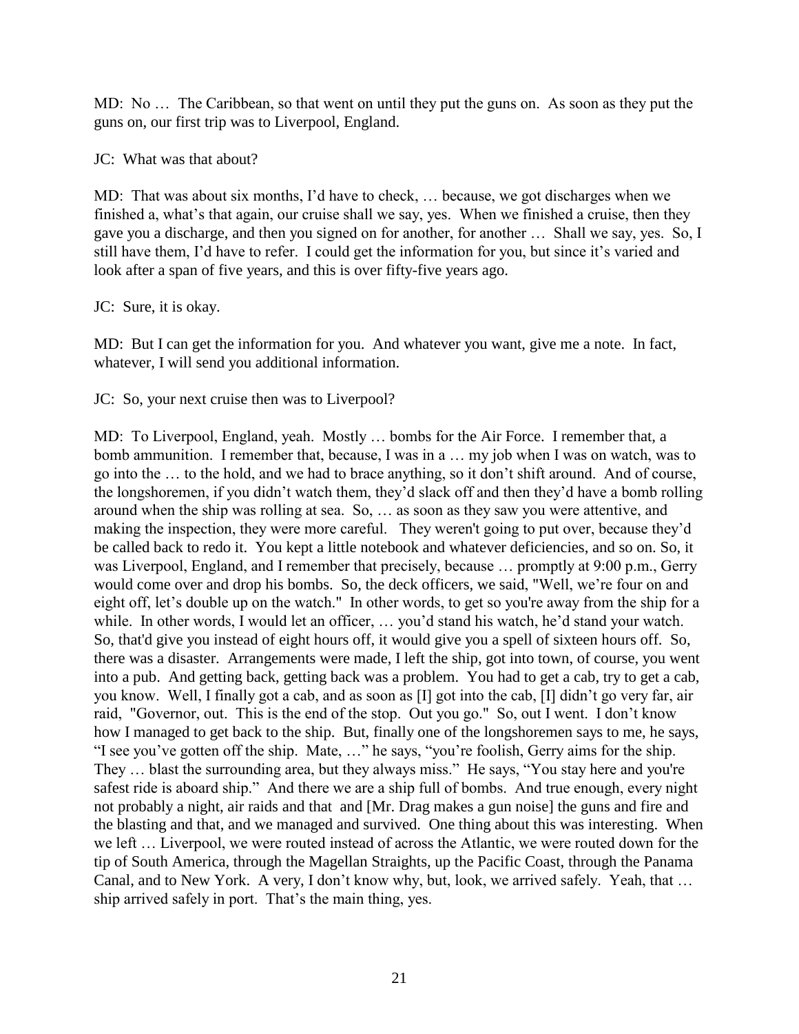MD: No … The Caribbean, so that went on until they put the guns on. As soon as they put the guns on, our first trip was to Liverpool, England.

JC: What was that about?

MD: That was about six months, I'd have to check, … because, we got discharges when we finished a, what's that again, our cruise shall we say, yes. When we finished a cruise, then they gave you a discharge, and then you signed on for another, for another … Shall we say, yes. So, I still have them, I'd have to refer. I could get the information for you, but since it's varied and look after a span of five years, and this is over fifty-five years ago.

JC: Sure, it is okay.

MD: But I can get the information for you. And whatever you want, give me a note. In fact, whatever, I will send you additional information.

JC: So, your next cruise then was to Liverpool?

MD: To Liverpool, England, yeah. Mostly … bombs for the Air Force. I remember that, a bomb ammunition. I remember that, because, I was in a … my job when I was on watch, was to go into the … to the hold, and we had to brace anything, so it don't shift around. And of course, the longshoremen, if you didn't watch them, they'd slack off and then they'd have a bomb rolling around when the ship was rolling at sea. So, … as soon as they saw you were attentive, and making the inspection, they were more careful. They weren't going to put over, because they'd be called back to redo it. You kept a little notebook and whatever deficiencies, and so on. So, it was Liverpool, England, and I remember that precisely, because … promptly at 9:00 p.m., Gerry would come over and drop his bombs. So, the deck officers, we said, "Well, we're four on and eight off, let's double up on the watch." In other words, to get so you're away from the ship for a while. In other words, I would let an officer, ... you'd stand his watch, he'd stand your watch. So, that'd give you instead of eight hours off, it would give you a spell of sixteen hours off. So, there was a disaster. Arrangements were made, I left the ship, got into town, of course, you went into a pub. And getting back, getting back was a problem. You had to get a cab, try to get a cab, you know. Well, I finally got a cab, and as soon as [I] got into the cab, [I] didn't go very far, air raid, "Governor, out. This is the end of the stop. Out you go." So, out I went. I don't know how I managed to get back to the ship. But, finally one of the longshoremen says to me, he says, "I see you've gotten off the ship. Mate, …" he says, "you're foolish, Gerry aims for the ship. They … blast the surrounding area, but they always miss." He says, "You stay here and you're safest ride is aboard ship." And there we are a ship full of bombs. And true enough, every night not probably a night, air raids and that and [Mr. Drag makes a gun noise] the guns and fire and the blasting and that, and we managed and survived. One thing about this was interesting. When we left … Liverpool, we were routed instead of across the Atlantic, we were routed down for the tip of South America, through the Magellan Straights, up the Pacific Coast, through the Panama Canal, and to New York. A very, I don't know why, but, look, we arrived safely. Yeah, that … ship arrived safely in port. That's the main thing, yes.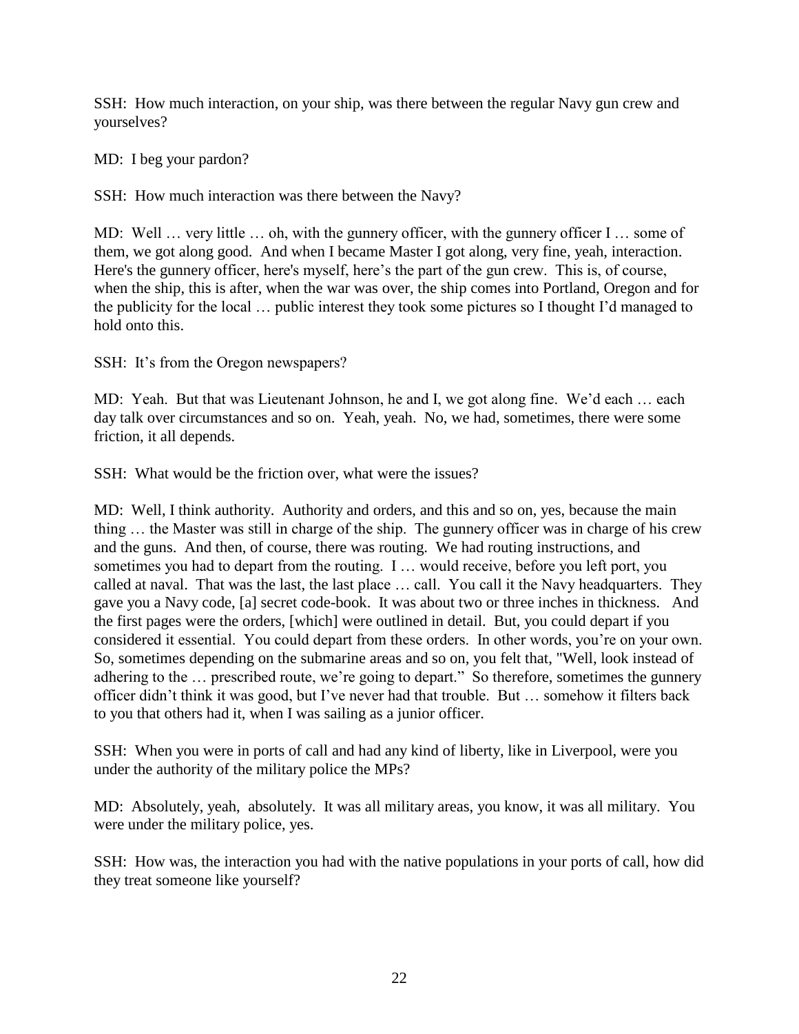SSH: How much interaction, on your ship, was there between the regular Navy gun crew and yourselves?

MD: I beg your pardon?

SSH: How much interaction was there between the Navy?

MD: Well … very little … oh, with the gunnery officer, with the gunnery officer I … some of them, we got along good. And when I became Master I got along, very fine, yeah, interaction. Here's the gunnery officer, here's myself, here's the part of the gun crew. This is, of course, when the ship, this is after, when the war was over, the ship comes into Portland, Oregon and for the publicity for the local … public interest they took some pictures so I thought I'd managed to hold onto this.

SSH: It's from the Oregon newspapers?

MD: Yeah. But that was Lieutenant Johnson, he and I, we got along fine. We'd each … each day talk over circumstances and so on. Yeah, yeah. No, we had, sometimes, there were some friction, it all depends.

SSH: What would be the friction over, what were the issues?

MD: Well, I think authority. Authority and orders, and this and so on, yes, because the main thing … the Master was still in charge of the ship. The gunnery officer was in charge of his crew and the guns. And then, of course, there was routing. We had routing instructions, and sometimes you had to depart from the routing. I … would receive, before you left port, you called at naval. That was the last, the last place … call. You call it the Navy headquarters. They gave you a Navy code, [a] secret code-book. It was about two or three inches in thickness. And the first pages were the orders, [which] were outlined in detail. But, you could depart if you considered it essential. You could depart from these orders. In other words, you're on your own. So, sometimes depending on the submarine areas and so on, you felt that, "Well, look instead of adhering to the … prescribed route, we're going to depart." So therefore, sometimes the gunnery officer didn't think it was good, but I've never had that trouble. But … somehow it filters back to you that others had it, when I was sailing as a junior officer.

SSH: When you were in ports of call and had any kind of liberty, like in Liverpool, were you under the authority of the military police the MPs?

MD: Absolutely, yeah, absolutely. It was all military areas, you know, it was all military. You were under the military police, yes.

SSH: How was, the interaction you had with the native populations in your ports of call, how did they treat someone like yourself?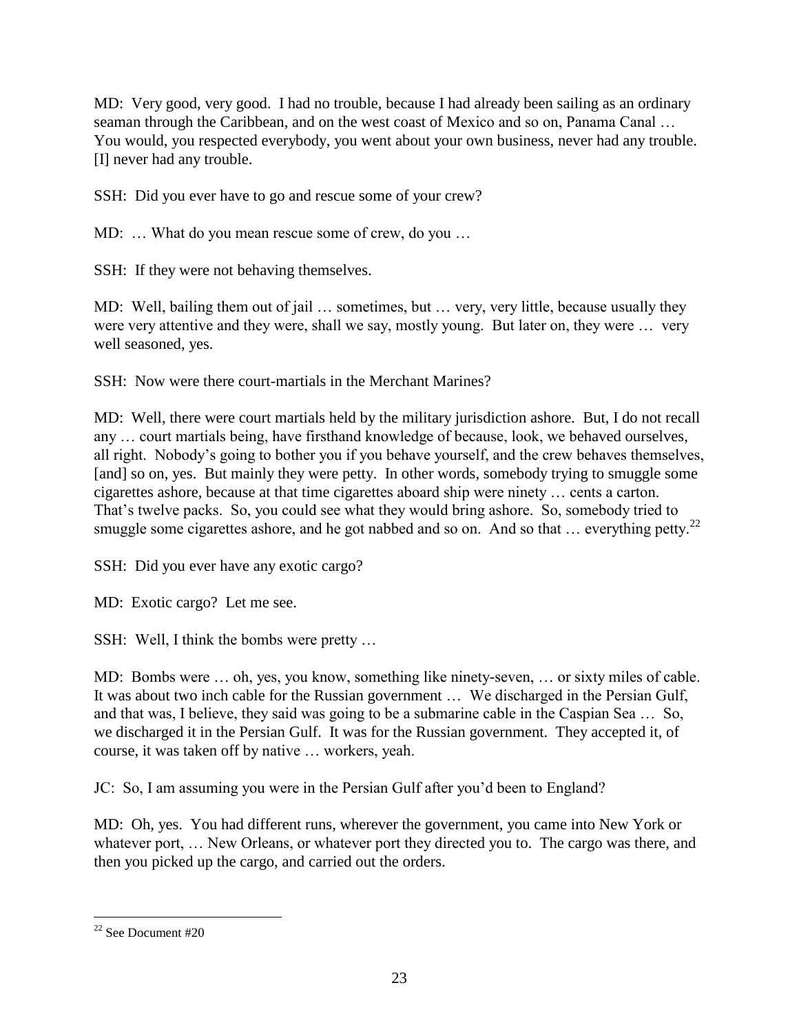MD: Very good, very good. I had no trouble, because I had already been sailing as an ordinary seaman through the Caribbean, and on the west coast of Mexico and so on, Panama Canal … You would, you respected everybody, you went about your own business, never had any trouble. [I] never had any trouble.

SSH: Did you ever have to go and rescue some of your crew?

MD: … What do you mean rescue some of crew, do you …

SSH: If they were not behaving themselves.

MD: Well, bailing them out of jail … sometimes, but … very, very little, because usually they were very attentive and they were, shall we say, mostly young. But later on, they were … very well seasoned, yes.

SSH: Now were there court-martials in the Merchant Marines?

MD: Well, there were court martials held by the military jurisdiction ashore. But, I do not recall any … court martials being, have firsthand knowledge of because, look, we behaved ourselves, all right. Nobody's going to bother you if you behave yourself, and the crew behaves themselves, [and] so on, yes. But mainly they were petty. In other words, somebody trying to smuggle some cigarettes ashore, because at that time cigarettes aboard ship were ninety … cents a carton. That's twelve packs. So, you could see what they would bring ashore. So, somebody tried to smuggle some cigarettes ashore, and he got nabbed and so on. And so that  $\ldots$  everything petty.<sup>22</sup>

SSH: Did you ever have any exotic cargo?

MD: Exotic cargo? Let me see.

SSH: Well, I think the bombs were pretty …

MD: Bombs were … oh, yes, you know, something like ninety-seven, … or sixty miles of cable. It was about two inch cable for the Russian government … We discharged in the Persian Gulf, and that was, I believe, they said was going to be a submarine cable in the Caspian Sea … So, we discharged it in the Persian Gulf. It was for the Russian government. They accepted it, of course, it was taken off by native … workers, yeah.

JC: So, I am assuming you were in the Persian Gulf after you'd been to England?

MD: Oh, yes. You had different runs, wherever the government, you came into New York or whatever port, ... New Orleans, or whatever port they directed you to. The cargo was there, and then you picked up the cargo, and carried out the orders.

 $\overline{a}$  $22$  See Document #20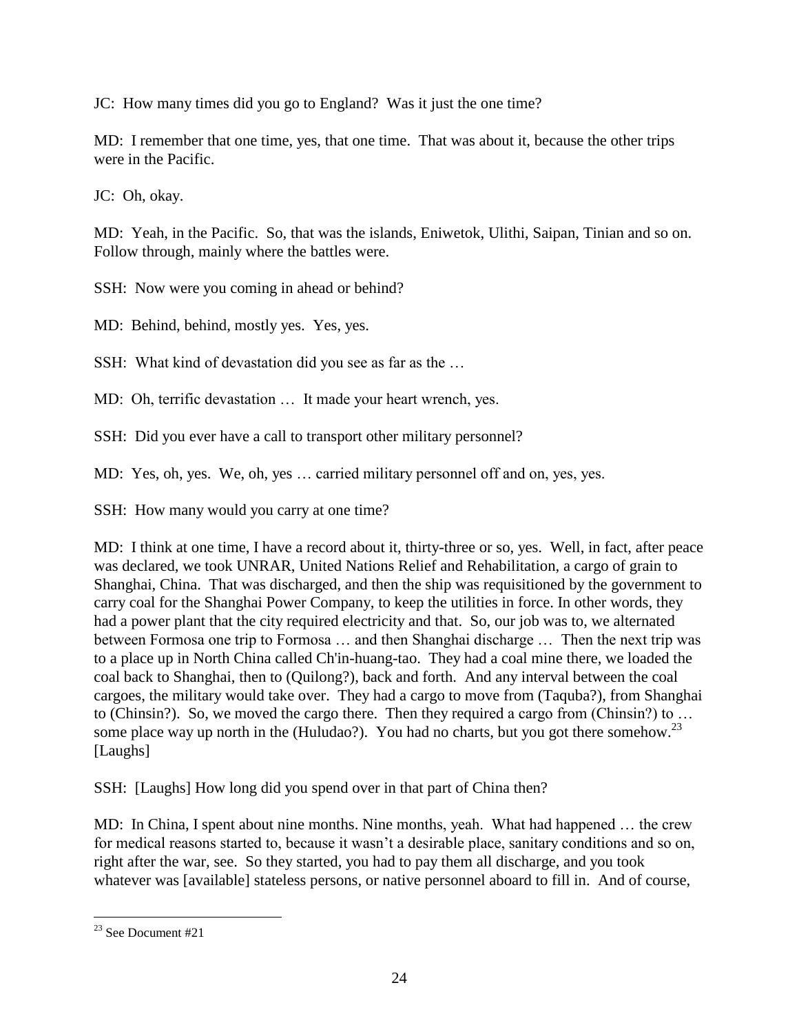JC: How many times did you go to England? Was it just the one time?

MD: I remember that one time, yes, that one time. That was about it, because the other trips were in the Pacific.

JC: Oh, okay.

MD: Yeah, in the Pacific. So, that was the islands, Eniwetok, Ulithi, Saipan, Tinian and so on. Follow through, mainly where the battles were.

SSH: Now were you coming in ahead or behind?

MD: Behind, behind, mostly yes. Yes, yes.

SSH: What kind of devastation did you see as far as the …

MD: Oh, terrific devastation … It made your heart wrench, yes.

SSH: Did you ever have a call to transport other military personnel?

MD: Yes, oh, yes. We, oh, yes … carried military personnel off and on, yes, yes.

SSH: How many would you carry at one time?

MD: I think at one time, I have a record about it, thirty-three or so, yes. Well, in fact, after peace was declared, we took UNRAR, United Nations Relief and Rehabilitation, a cargo of grain to Shanghai, China. That was discharged, and then the ship was requisitioned by the government to carry coal for the Shanghai Power Company, to keep the utilities in force. In other words, they had a power plant that the city required electricity and that. So, our job was to, we alternated between Formosa one trip to Formosa … and then Shanghai discharge … Then the next trip was to a place up in North China called Ch'in-huang-tao. They had a coal mine there, we loaded the coal back to Shanghai, then to (Quilong?), back and forth. And any interval between the coal cargoes, the military would take over. They had a cargo to move from (Taquba?), from Shanghai to (Chinsin?). So, we moved the cargo there. Then they required a cargo from (Chinsin?) to … some place way up north in the (Huludao?). You had no charts, but you got there somehow.<sup>23</sup> [Laughs]

SSH: [Laughs] How long did you spend over in that part of China then?

MD: In China, I spent about nine months. Nine months, yeah. What had happened … the crew for medical reasons started to, because it wasn't a desirable place, sanitary conditions and so on, right after the war, see. So they started, you had to pay them all discharge, and you took whatever was [available] stateless persons, or native personnel aboard to fill in. And of course,

 $\overline{a}$  $23$  See Document #21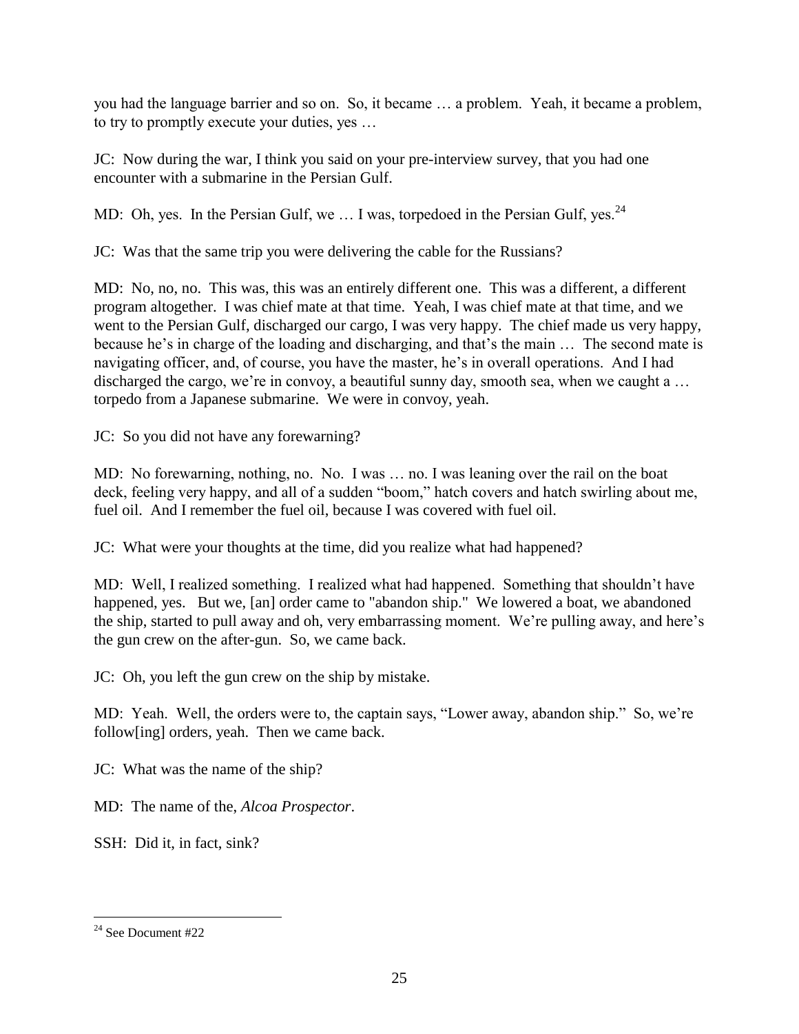you had the language barrier and so on. So, it became … a problem. Yeah, it became a problem, to try to promptly execute your duties, yes …

JC: Now during the war, I think you said on your pre-interview survey, that you had one encounter with a submarine in the Persian Gulf.

MD: Oh, yes. In the Persian Gulf, we  $\dots$  I was, torpedoed in the Persian Gulf, yes.<sup>24</sup>

JC: Was that the same trip you were delivering the cable for the Russians?

MD: No, no, no. This was, this was an entirely different one. This was a different, a different program altogether. I was chief mate at that time. Yeah, I was chief mate at that time, and we went to the Persian Gulf, discharged our cargo, I was very happy. The chief made us very happy, because he's in charge of the loading and discharging, and that's the main … The second mate is navigating officer, and, of course, you have the master, he's in overall operations. And I had discharged the cargo, we're in convoy, a beautiful sunny day, smooth sea, when we caught a ... torpedo from a Japanese submarine. We were in convoy, yeah.

JC: So you did not have any forewarning?

MD: No forewarning, nothing, no. No. I was … no. I was leaning over the rail on the boat deck, feeling very happy, and all of a sudden "boom," hatch covers and hatch swirling about me, fuel oil. And I remember the fuel oil, because I was covered with fuel oil.

JC: What were your thoughts at the time, did you realize what had happened?

MD: Well, I realized something. I realized what had happened. Something that shouldn't have happened, yes. But we, [an] order came to "abandon ship." We lowered a boat, we abandoned the ship, started to pull away and oh, very embarrassing moment. We're pulling away, and here's the gun crew on the after-gun. So, we came back.

JC: Oh, you left the gun crew on the ship by mistake.

MD: Yeah. Well, the orders were to, the captain says, "Lower away, abandon ship." So, we're follow[ing] orders, yeah. Then we came back.

JC: What was the name of the ship?

MD: The name of the, *Alcoa Prospector*.

SSH: Did it, in fact, sink?

 $24$  See Document #22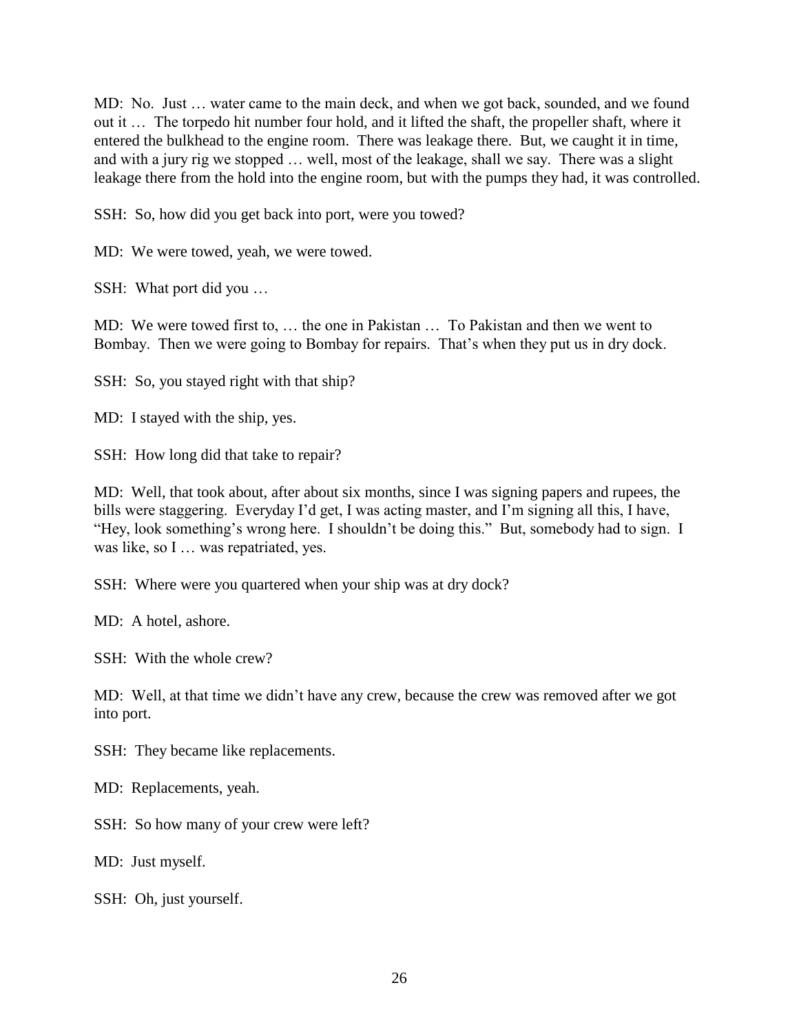MD: No. Just … water came to the main deck, and when we got back, sounded, and we found out it … The torpedo hit number four hold, and it lifted the shaft, the propeller shaft, where it entered the bulkhead to the engine room. There was leakage there. But, we caught it in time, and with a jury rig we stopped … well, most of the leakage, shall we say. There was a slight leakage there from the hold into the engine room, but with the pumps they had, it was controlled.

SSH: So, how did you get back into port, were you towed?

MD: We were towed, yeah, we were towed.

SSH: What port did you …

MD: We were towed first to, … the one in Pakistan … To Pakistan and then we went to Bombay. Then we were going to Bombay for repairs. That's when they put us in dry dock.

SSH: So, you stayed right with that ship?

MD: I stayed with the ship, yes.

SSH: How long did that take to repair?

MD: Well, that took about, after about six months, since I was signing papers and rupees, the bills were staggering. Everyday I'd get, I was acting master, and I'm signing all this, I have, "Hey, look something's wrong here. I shouldn't be doing this." But, somebody had to sign. I was like, so I ... was repatriated, yes.

SSH: Where were you quartered when your ship was at dry dock?

MD: A hotel, ashore.

SSH: With the whole crew?

MD: Well, at that time we didn't have any crew, because the crew was removed after we got into port.

SSH: They became like replacements.

MD: Replacements, yeah.

SSH: So how many of your crew were left?

MD: Just myself.

SSH: Oh, just yourself.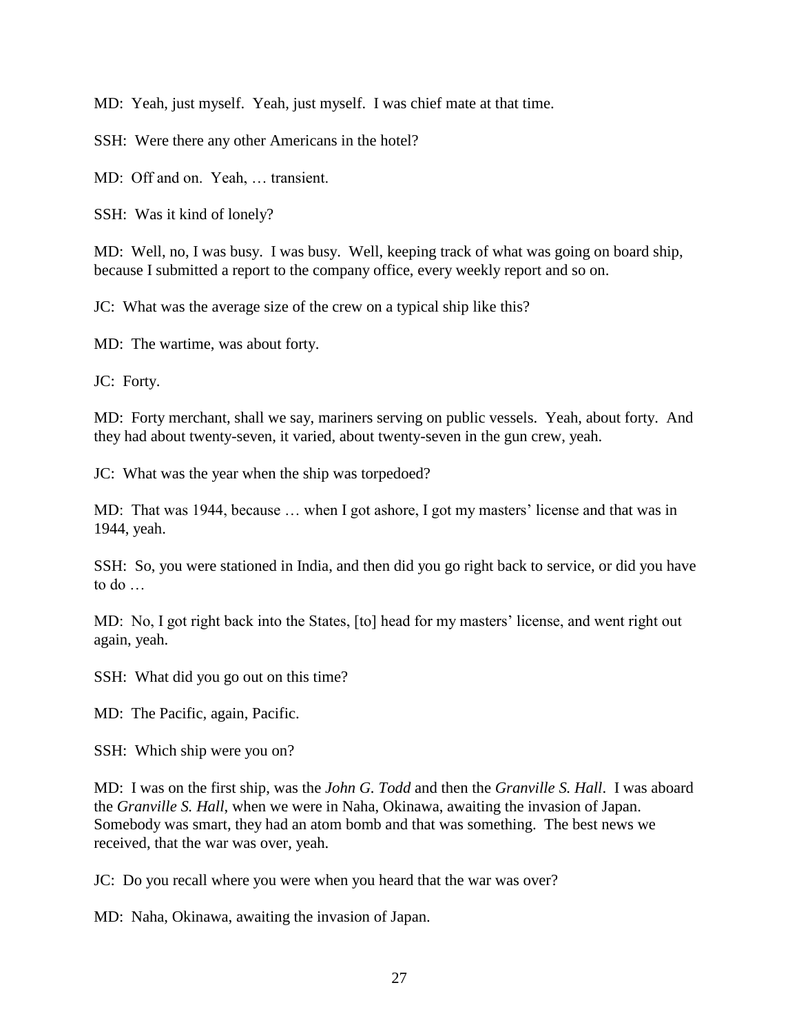MD: Yeah, just myself. Yeah, just myself. I was chief mate at that time.

SSH: Were there any other Americans in the hotel?

MD: Off and on. Yeah, … transient.

SSH: Was it kind of lonely?

MD: Well, no, I was busy. I was busy. Well, keeping track of what was going on board ship, because I submitted a report to the company office, every weekly report and so on.

JC: What was the average size of the crew on a typical ship like this?

MD: The wartime, was about forty.

JC: Forty.

MD: Forty merchant, shall we say, mariners serving on public vessels. Yeah, about forty. And they had about twenty-seven, it varied, about twenty-seven in the gun crew, yeah.

JC: What was the year when the ship was torpedoed?

MD: That was 1944, because … when I got ashore, I got my masters' license and that was in 1944, yeah.

SSH: So, you were stationed in India, and then did you go right back to service, or did you have to do …

MD: No, I got right back into the States, [to] head for my masters' license, and went right out again, yeah.

SSH: What did you go out on this time?

MD: The Pacific, again, Pacific.

SSH: Which ship were you on?

MD: I was on the first ship, was the *John G. Todd* and then the *Granville S. Hall*. I was aboard the *Granville S. Hall*, when we were in Naha, Okinawa, awaiting the invasion of Japan. Somebody was smart, they had an atom bomb and that was something. The best news we received, that the war was over, yeah.

JC: Do you recall where you were when you heard that the war was over?

MD: Naha, Okinawa, awaiting the invasion of Japan.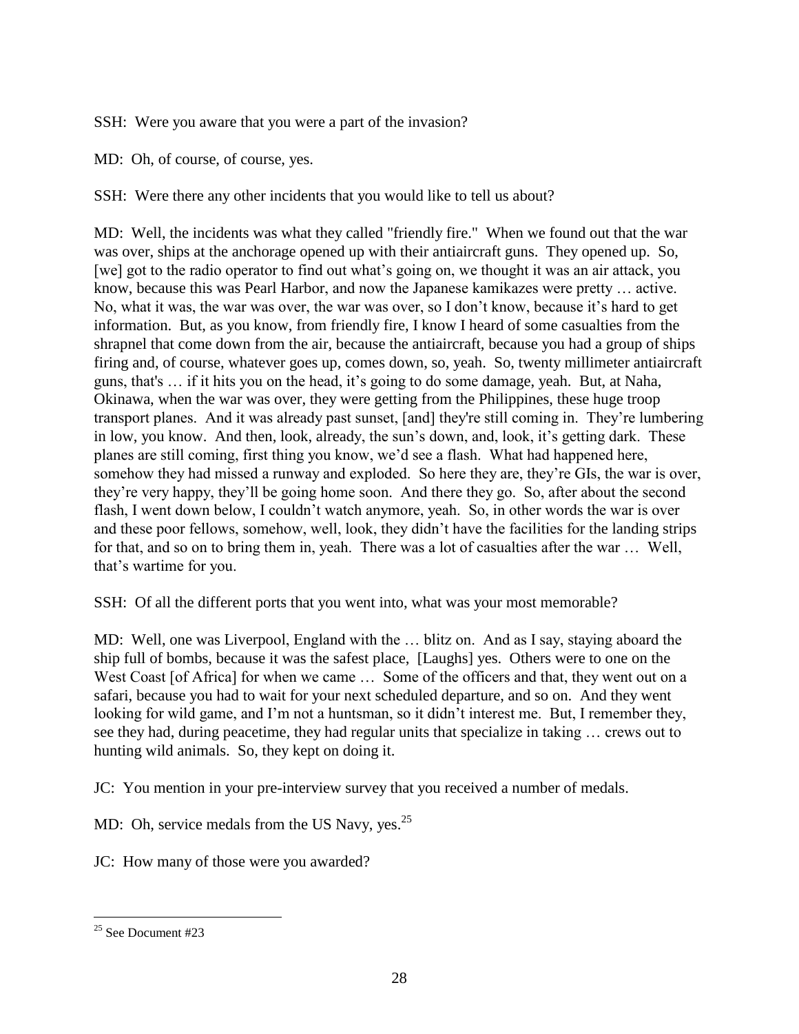SSH: Were you aware that you were a part of the invasion?

MD: Oh, of course, of course, yes.

SSH: Were there any other incidents that you would like to tell us about?

MD: Well, the incidents was what they called "friendly fire." When we found out that the war was over, ships at the anchorage opened up with their antiaircraft guns. They opened up. So, [we] got to the radio operator to find out what's going on, we thought it was an air attack, you know, because this was Pearl Harbor, and now the Japanese kamikazes were pretty … active. No, what it was, the war was over, the war was over, so I don't know, because it's hard to get information. But, as you know, from friendly fire, I know I heard of some casualties from the shrapnel that come down from the air, because the antiaircraft, because you had a group of ships firing and, of course, whatever goes up, comes down, so, yeah. So, twenty millimeter antiaircraft guns, that's … if it hits you on the head, it's going to do some damage, yeah. But, at Naha, Okinawa, when the war was over, they were getting from the Philippines, these huge troop transport planes. And it was already past sunset, [and] they're still coming in. They're lumbering in low, you know. And then, look, already, the sun's down, and, look, it's getting dark. These planes are still coming, first thing you know, we'd see a flash. What had happened here, somehow they had missed a runway and exploded. So here they are, they're GIs, the war is over, they're very happy, they'll be going home soon. And there they go. So, after about the second flash, I went down below, I couldn't watch anymore, yeah. So, in other words the war is over and these poor fellows, somehow, well, look, they didn't have the facilities for the landing strips for that, and so on to bring them in, yeah. There was a lot of casualties after the war … Well, that's wartime for you.

SSH: Of all the different ports that you went into, what was your most memorable?

MD: Well, one was Liverpool, England with the … blitz on. And as I say, staying aboard the ship full of bombs, because it was the safest place, [Laughs] yes. Others were to one on the West Coast [of Africa] for when we came ... Some of the officers and that, they went out on a safari, because you had to wait for your next scheduled departure, and so on. And they went looking for wild game, and I'm not a huntsman, so it didn't interest me. But, I remember they, see they had, during peacetime, they had regular units that specialize in taking … crews out to hunting wild animals. So, they kept on doing it.

JC: You mention in your pre-interview survey that you received a number of medals.

MD: Oh, service medals from the US Navy, yes. $^{25}$ 

JC: How many of those were you awarded?

 $\overline{a}$  $25$  See Document #23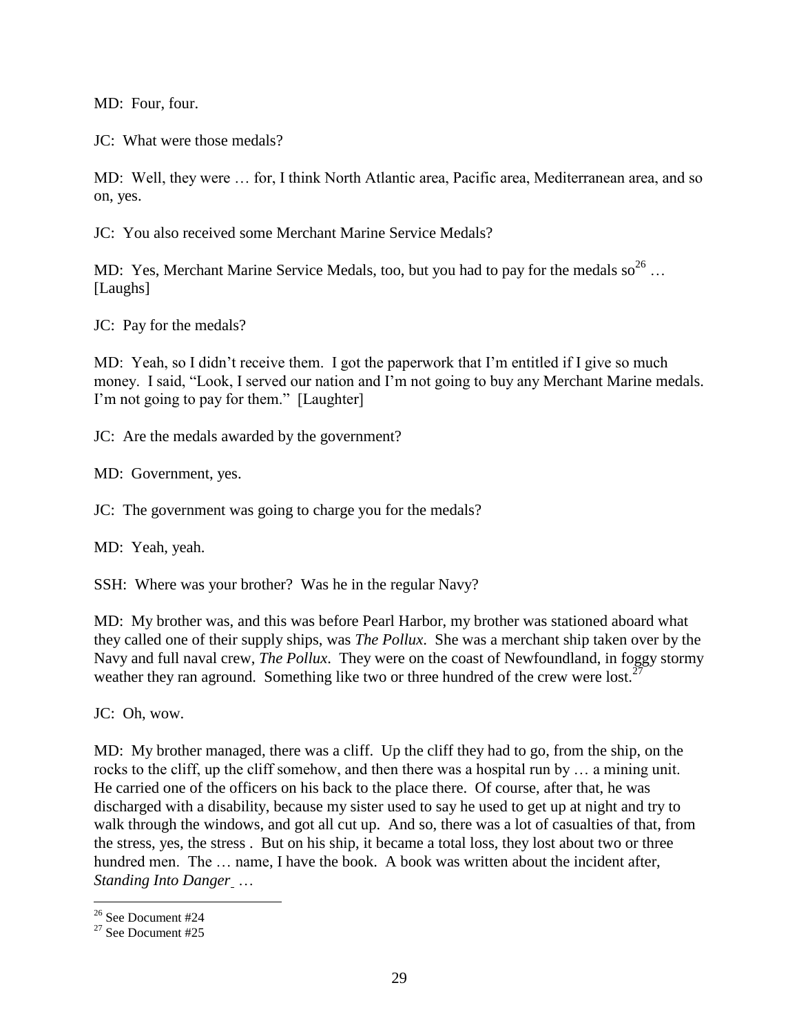MD: Four, four.

JC: What were those medals?

MD: Well, they were … for, I think North Atlantic area, Pacific area, Mediterranean area, and so on, yes.

JC: You also received some Merchant Marine Service Medals?

MD: Yes, Merchant Marine Service Medals, too, but you had to pay for the medals  $so^{26}$ ... [Laughs]

JC: Pay for the medals?

MD: Yeah, so I didn't receive them. I got the paperwork that I'm entitled if I give so much money. I said, "Look, I served our nation and I'm not going to buy any Merchant Marine medals. I'm not going to pay for them." [Laughter]

JC: Are the medals awarded by the government?

MD: Government, yes.

JC: The government was going to charge you for the medals?

MD: Yeah, yeah.

SSH: Where was your brother? Was he in the regular Navy?

MD: My brother was, and this was before Pearl Harbor, my brother was stationed aboard what they called one of their supply ships, was *The Pollux*. She was a merchant ship taken over by the Navy and full naval crew, *The Pollux*. They were on the coast of Newfoundland, in foggy stormy weather they ran aground. Something like two or three hundred of the crew were lost.<sup>2</sup>

JC: Oh, wow.

MD: My brother managed, there was a cliff. Up the cliff they had to go, from the ship, on the rocks to the cliff, up the cliff somehow, and then there was a hospital run by … a mining unit. He carried one of the officers on his back to the place there. Of course, after that, he was discharged with a disability, because my sister used to say he used to get up at night and try to walk through the windows, and got all cut up. And so, there was a lot of casualties of that, from the stress, yes, the stress . But on his ship, it became a total loss, they lost about two or three hundred men. The ... name, I have the book. A book was written about the incident after, *Standing Into Danger* …

<sup>&</sup>lt;sup>26</sup> See Document #24

<sup>27</sup> See Document #25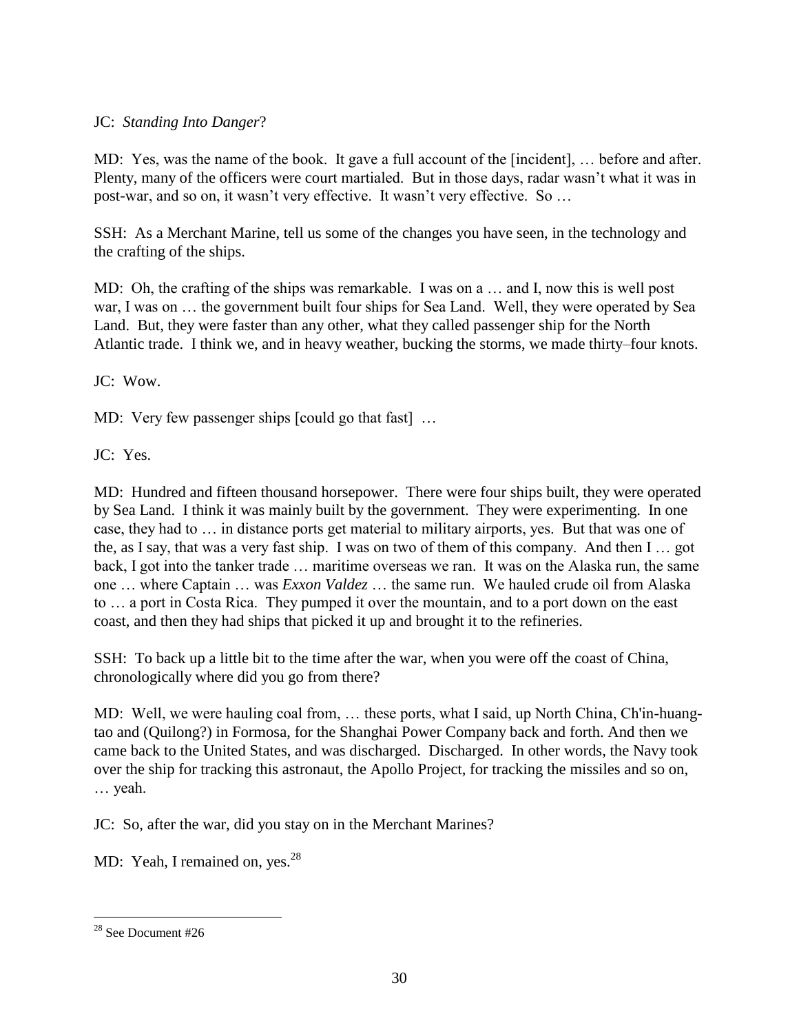# JC: *Standing Into Danger*?

MD: Yes, was the name of the book. It gave a full account of the [incident], … before and after. Plenty, many of the officers were court martialed. But in those days, radar wasn't what it was in post-war, and so on, it wasn't very effective. It wasn't very effective. So …

SSH: As a Merchant Marine, tell us some of the changes you have seen, in the technology and the crafting of the ships.

MD: Oh, the crafting of the ships was remarkable. I was on a … and I, now this is well post war, I was on … the government built four ships for Sea Land. Well, they were operated by Sea Land. But, they were faster than any other, what they called passenger ship for the North Atlantic trade. I think we, and in heavy weather, bucking the storms, we made thirty–four knots.

JC: Wow.

MD: Very few passenger ships [could go that fast] ...

JC: Yes.

MD: Hundred and fifteen thousand horsepower. There were four ships built, they were operated by Sea Land. I think it was mainly built by the government. They were experimenting. In one case, they had to … in distance ports get material to military airports, yes. But that was one of the, as I say, that was a very fast ship. I was on two of them of this company. And then I … got back, I got into the tanker trade … maritime overseas we ran. It was on the Alaska run, the same one … where Captain … was *Exxon Valdez* … the same run. We hauled crude oil from Alaska to … a port in Costa Rica. They pumped it over the mountain, and to a port down on the east coast, and then they had ships that picked it up and brought it to the refineries.

SSH: To back up a little bit to the time after the war, when you were off the coast of China, chronologically where did you go from there?

MD: Well, we were hauling coal from, … these ports, what I said, up North China, Ch'in-huangtao and (Quilong?) in Formosa, for the Shanghai Power Company back and forth. And then we came back to the United States, and was discharged. Discharged. In other words, the Navy took over the ship for tracking this astronaut, the Apollo Project, for tracking the missiles and so on, … yeah.

JC: So, after the war, did you stay on in the Merchant Marines?

MD: Yeah, I remained on, yes.<sup>28</sup>

 $28$  See Document #26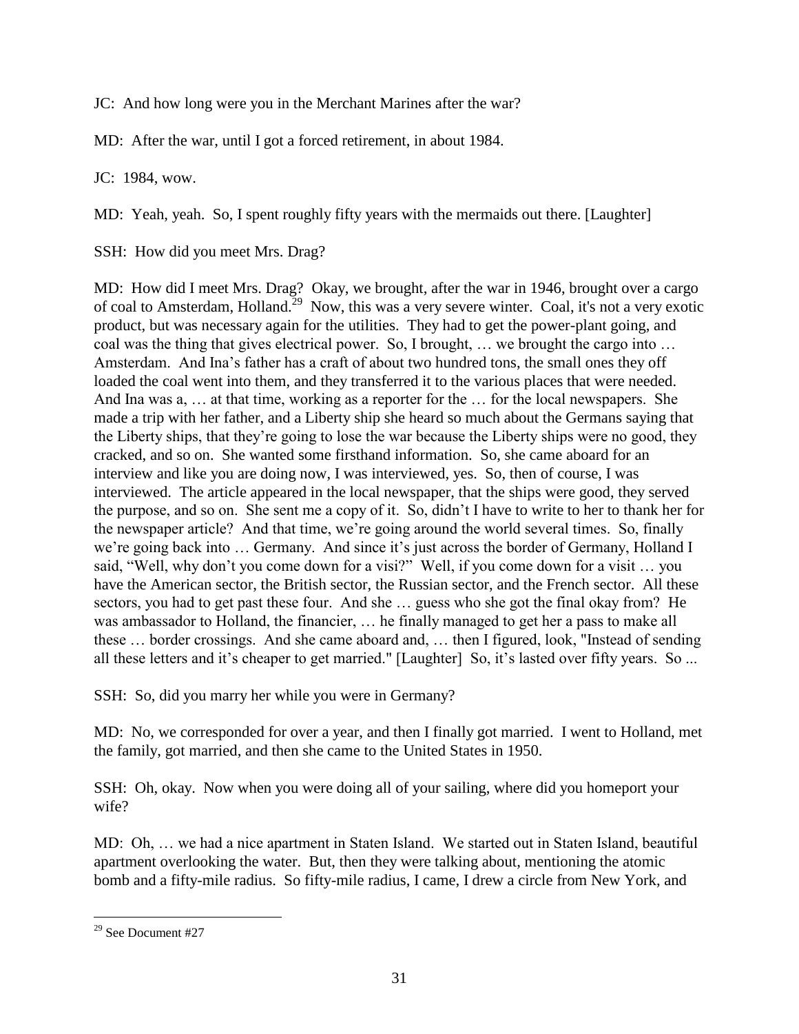JC: And how long were you in the Merchant Marines after the war?

MD: After the war, until I got a forced retirement, in about 1984.

JC: 1984, wow.

MD: Yeah, yeah. So, I spent roughly fifty years with the mermaids out there. [Laughter]

SSH: How did you meet Mrs. Drag?

MD: How did I meet Mrs. Drag? Okay, we brought, after the war in 1946, brought over a cargo of coal to Amsterdam, Holland.<sup>29</sup> Now, this was a very severe winter. Coal, it's not a very exotic product, but was necessary again for the utilities. They had to get the power-plant going, and coal was the thing that gives electrical power. So, I brought, … we brought the cargo into … Amsterdam. And Ina's father has a craft of about two hundred tons, the small ones they off loaded the coal went into them, and they transferred it to the various places that were needed. And Ina was a, … at that time, working as a reporter for the … for the local newspapers. She made a trip with her father, and a Liberty ship she heard so much about the Germans saying that the Liberty ships, that they're going to lose the war because the Liberty ships were no good, they cracked, and so on. She wanted some firsthand information. So, she came aboard for an interview and like you are doing now, I was interviewed, yes. So, then of course, I was interviewed. The article appeared in the local newspaper, that the ships were good, they served the purpose, and so on. She sent me a copy of it. So, didn't I have to write to her to thank her for the newspaper article? And that time, we're going around the world several times. So, finally we're going back into … Germany. And since it's just across the border of Germany, Holland I said, "Well, why don't you come down for a visi?" Well, if you come down for a visit … you have the American sector, the British sector, the Russian sector, and the French sector. All these sectors, you had to get past these four. And she … guess who she got the final okay from? He was ambassador to Holland, the financier, … he finally managed to get her a pass to make all these … border crossings. And she came aboard and, … then I figured, look, "Instead of sending all these letters and it's cheaper to get married." [Laughter] So, it's lasted over fifty years. So ...

SSH: So, did you marry her while you were in Germany?

MD: No, we corresponded for over a year, and then I finally got married. I went to Holland, met the family, got married, and then she came to the United States in 1950.

SSH: Oh, okay. Now when you were doing all of your sailing, where did you homeport your wife?

MD: Oh, … we had a nice apartment in Staten Island. We started out in Staten Island, beautiful apartment overlooking the water. But, then they were talking about, mentioning the atomic bomb and a fifty-mile radius. So fifty-mile radius, I came, I drew a circle from New York, and

 $\overline{a}$ <sup>29</sup> See Document #27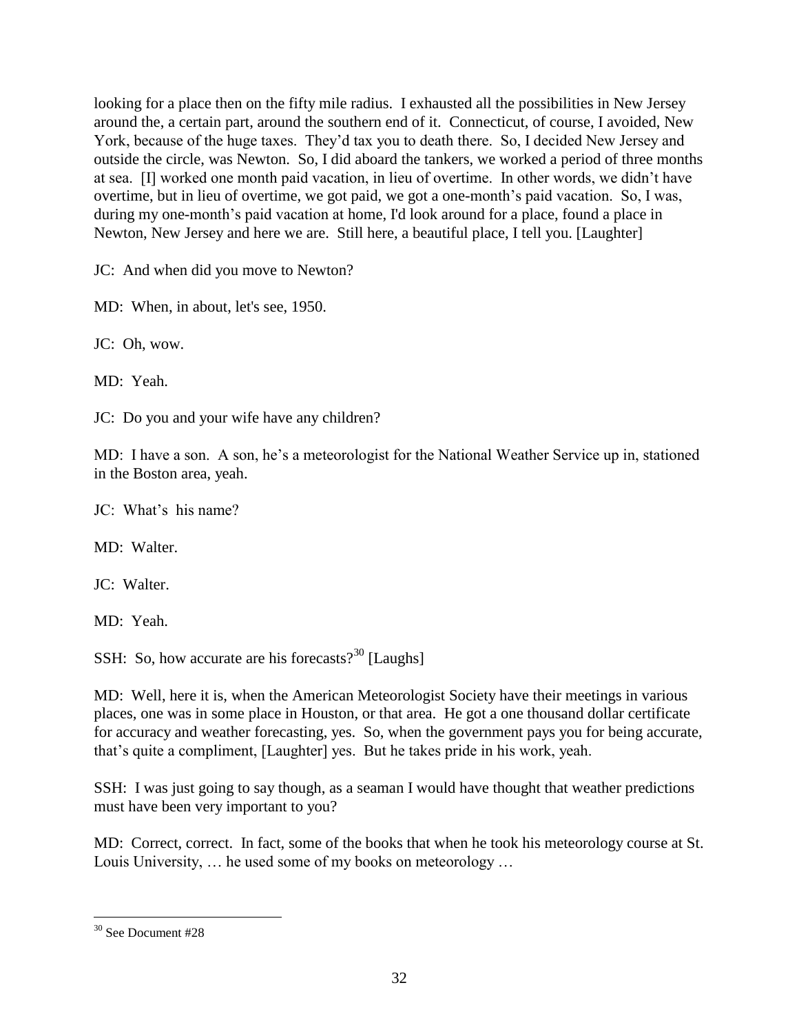looking for a place then on the fifty mile radius. I exhausted all the possibilities in New Jersey around the, a certain part, around the southern end of it. Connecticut, of course, I avoided, New York, because of the huge taxes. They'd tax you to death there. So, I decided New Jersey and outside the circle, was Newton. So, I did aboard the tankers, we worked a period of three months at sea. [I] worked one month paid vacation, in lieu of overtime. In other words, we didn't have overtime, but in lieu of overtime, we got paid, we got a one-month's paid vacation. So, I was, during my one-month's paid vacation at home, I'd look around for a place, found a place in Newton, New Jersey and here we are. Still here, a beautiful place, I tell you. [Laughter]

JC: And when did you move to Newton?

MD: When, in about, let's see, 1950.

JC: Oh, wow.

MD: Yeah.

JC: Do you and your wife have any children?

MD: I have a son. A son, he's a meteorologist for the National Weather Service up in, stationed in the Boston area, yeah.

JC: What's his name?

MD: Walter.

JC: Walter.

MD: Yeah.

SSH: So, how accurate are his forecasts? $30$  [Laughs]

MD: Well, here it is, when the American Meteorologist Society have their meetings in various places, one was in some place in Houston, or that area. He got a one thousand dollar certificate for accuracy and weather forecasting, yes. So, when the government pays you for being accurate, that's quite a compliment, [Laughter] yes. But he takes pride in his work, yeah.

SSH: I was just going to say though, as a seaman I would have thought that weather predictions must have been very important to you?

MD: Correct, correct. In fact, some of the books that when he took his meteorology course at St. Louis University, … he used some of my books on meteorology …

 $\overline{a}$ <sup>30</sup> See Document #28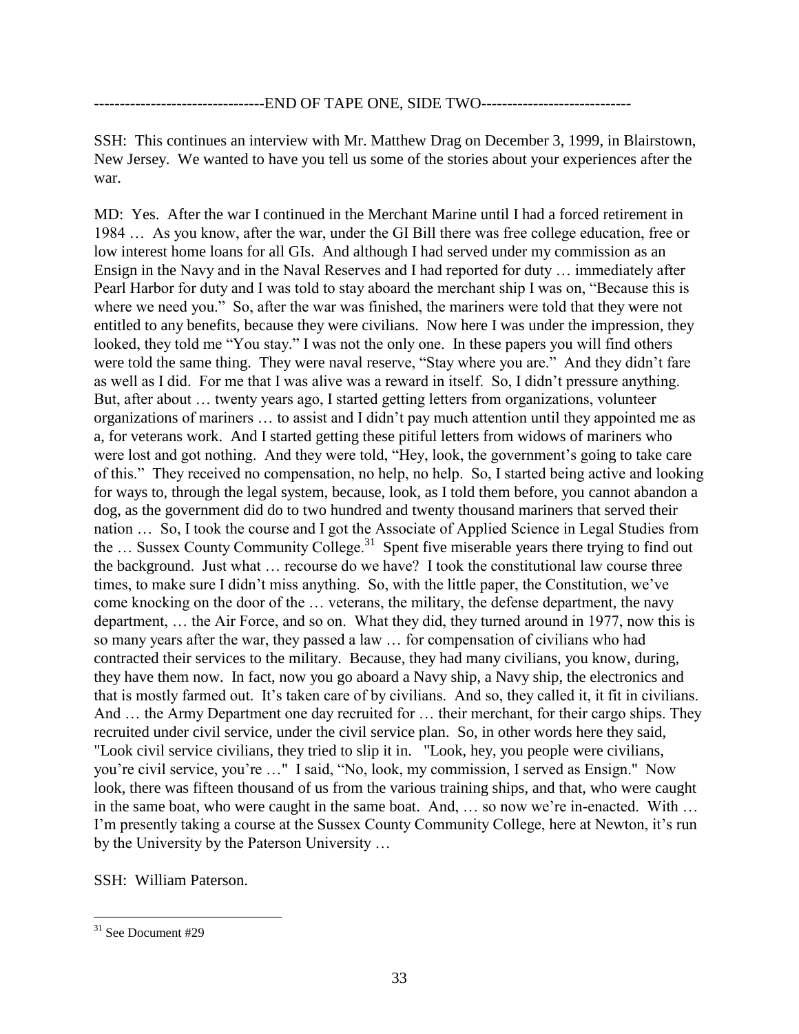### ---------------------------------END OF TAPE ONE, SIDE TWO-----------------------------

SSH: This continues an interview with Mr. Matthew Drag on December 3, 1999, in Blairstown, New Jersey. We wanted to have you tell us some of the stories about your experiences after the war.

MD: Yes. After the war I continued in the Merchant Marine until I had a forced retirement in 1984 … As you know, after the war, under the GI Bill there was free college education, free or low interest home loans for all GIs. And although I had served under my commission as an Ensign in the Navy and in the Naval Reserves and I had reported for duty … immediately after Pearl Harbor for duty and I was told to stay aboard the merchant ship I was on, "Because this is where we need you." So, after the war was finished, the mariners were told that they were not entitled to any benefits, because they were civilians. Now here I was under the impression, they looked, they told me "You stay." I was not the only one. In these papers you will find others were told the same thing. They were naval reserve, "Stay where you are." And they didn't fare as well as I did. For me that I was alive was a reward in itself. So, I didn't pressure anything. But, after about … twenty years ago, I started getting letters from organizations, volunteer organizations of mariners … to assist and I didn't pay much attention until they appointed me as a, for veterans work. And I started getting these pitiful letters from widows of mariners who were lost and got nothing. And they were told, "Hey, look, the government's going to take care of this." They received no compensation, no help, no help. So, I started being active and looking for ways to, through the legal system, because, look, as I told them before, you cannot abandon a dog, as the government did do to two hundred and twenty thousand mariners that served their nation … So, I took the course and I got the Associate of Applied Science in Legal Studies from the ... Sussex County Community College.<sup>31</sup> Spent five miserable years there trying to find out the background. Just what … recourse do we have? I took the constitutional law course three times, to make sure I didn't miss anything. So, with the little paper, the Constitution, we've come knocking on the door of the … veterans, the military, the defense department, the navy department, … the Air Force, and so on. What they did, they turned around in 1977, now this is so many years after the war, they passed a law … for compensation of civilians who had contracted their services to the military. Because, they had many civilians, you know, during, they have them now. In fact, now you go aboard a Navy ship, a Navy ship, the electronics and that is mostly farmed out. It's taken care of by civilians. And so, they called it, it fit in civilians. And … the Army Department one day recruited for … their merchant, for their cargo ships. They recruited under civil service, under the civil service plan. So, in other words here they said, "Look civil service civilians, they tried to slip it in. "Look, hey, you people were civilians, you're civil service, you're …" I said, "No, look, my commission, I served as Ensign." Now look, there was fifteen thousand of us from the various training ships, and that, who were caught in the same boat, who were caught in the same boat. And, … so now we're in-enacted. With … I'm presently taking a course at the Sussex County Community College, here at Newton, it's run by the University by the Paterson University …

SSH: William Paterson.

 $\overline{a}$  $31$  See Document #29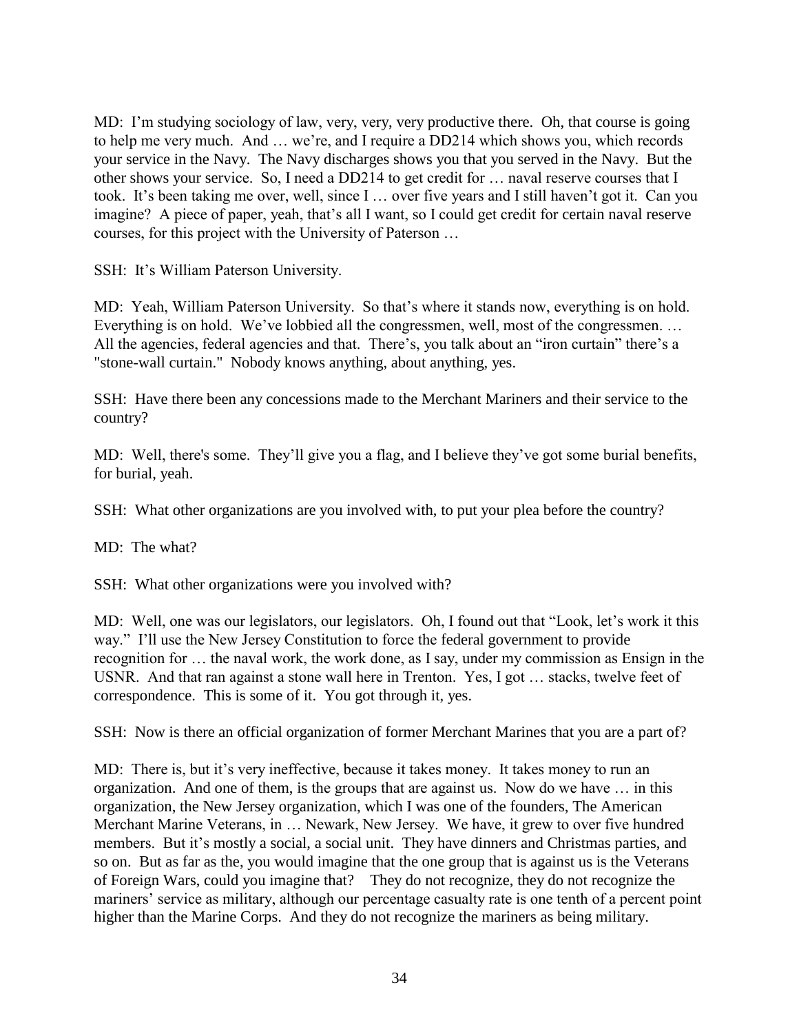MD: I'm studying sociology of law, very, very, very productive there. Oh, that course is going to help me very much. And … we're, and I require a DD214 which shows you, which records your service in the Navy. The Navy discharges shows you that you served in the Navy. But the other shows your service. So, I need a DD214 to get credit for … naval reserve courses that I took. It's been taking me over, well, since I … over five years and I still haven't got it. Can you imagine? A piece of paper, yeah, that's all I want, so I could get credit for certain naval reserve courses, for this project with the University of Paterson …

SSH: It's William Paterson University.

MD: Yeah, William Paterson University. So that's where it stands now, everything is on hold. Everything is on hold. We've lobbied all the congressmen, well, most of the congressmen. … All the agencies, federal agencies and that. There's, you talk about an "iron curtain" there's a "stone-wall curtain." Nobody knows anything, about anything, yes.

SSH: Have there been any concessions made to the Merchant Mariners and their service to the country?

MD: Well, there's some. They'll give you a flag, and I believe they've got some burial benefits, for burial, yeah.

SSH: What other organizations are you involved with, to put your plea before the country?

MD: The what?

SSH: What other organizations were you involved with?

MD: Well, one was our legislators, our legislators. Oh, I found out that "Look, let's work it this way." I'll use the New Jersey Constitution to force the federal government to provide recognition for … the naval work, the work done, as I say, under my commission as Ensign in the USNR. And that ran against a stone wall here in Trenton. Yes, I got … stacks, twelve feet of correspondence. This is some of it. You got through it, yes.

SSH: Now is there an official organization of former Merchant Marines that you are a part of?

MD: There is, but it's very ineffective, because it takes money. It takes money to run an organization. And one of them, is the groups that are against us. Now do we have … in this organization, the New Jersey organization, which I was one of the founders, The American Merchant Marine Veterans, in … Newark, New Jersey. We have, it grew to over five hundred members. But it's mostly a social, a social unit. They have dinners and Christmas parties, and so on. But as far as the, you would imagine that the one group that is against us is the Veterans of Foreign Wars, could you imagine that? They do not recognize, they do not recognize the mariners' service as military, although our percentage casualty rate is one tenth of a percent point higher than the Marine Corps. And they do not recognize the mariners as being military.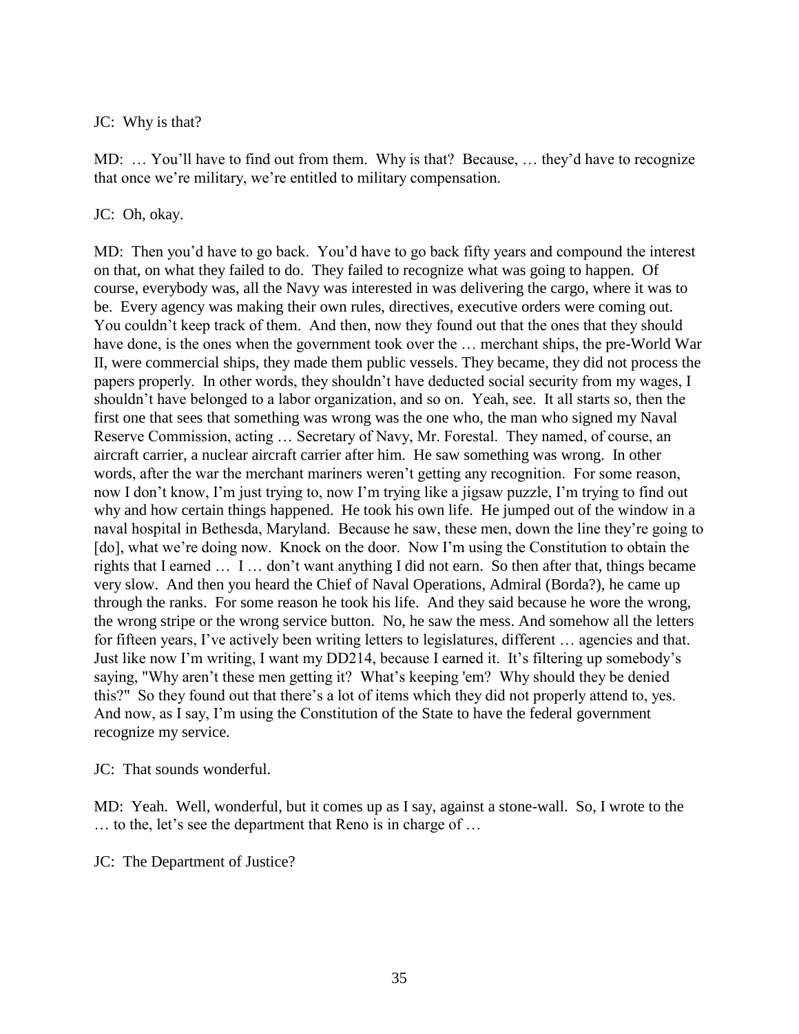## JC: Why is that?

MD: … You'll have to find out from them. Why is that? Because, … they'd have to recognize that once we're military, we're entitled to military compensation.

## JC: Oh, okay.

MD: Then you'd have to go back. You'd have to go back fifty years and compound the interest on that, on what they failed to do. They failed to recognize what was going to happen. Of course, everybody was, all the Navy was interested in was delivering the cargo, where it was to be. Every agency was making their own rules, directives, executive orders were coming out. You couldn't keep track of them. And then, now they found out that the ones that they should have done, is the ones when the government took over the … merchant ships, the pre-World War II, were commercial ships, they made them public vessels. They became, they did not process the papers properly. In other words, they shouldn't have deducted social security from my wages, I shouldn't have belonged to a labor organization, and so on. Yeah, see. It all starts so, then the first one that sees that something was wrong was the one who, the man who signed my Naval Reserve Commission, acting … Secretary of Navy, Mr. Forestal. They named, of course, an aircraft carrier, a nuclear aircraft carrier after him. He saw something was wrong. In other words, after the war the merchant mariners weren't getting any recognition. For some reason, now I don't know, I'm just trying to, now I'm trying like a jigsaw puzzle, I'm trying to find out why and how certain things happened. He took his own life. He jumped out of the window in a naval hospital in Bethesda, Maryland. Because he saw, these men, down the line they're going to [do], what we're doing now. Knock on the door. Now I'm using the Constitution to obtain the rights that I earned … I … don't want anything I did not earn. So then after that, things became very slow. And then you heard the Chief of Naval Operations, Admiral (Borda?), he came up through the ranks. For some reason he took his life. And they said because he wore the wrong, the wrong stripe or the wrong service button. No, he saw the mess. And somehow all the letters for fifteen years, I've actively been writing letters to legislatures, different … agencies and that. Just like now I'm writing, I want my DD214, because I earned it. It's filtering up somebody's saying, "Why aren't these men getting it? What's keeping 'em? Why should they be denied this?" So they found out that there's a lot of items which they did not properly attend to, yes. And now, as I say, I'm using the Constitution of the State to have the federal government recognize my service.

### JC: That sounds wonderful.

MD: Yeah. Well, wonderful, but it comes up as I say, against a stone-wall. So, I wrote to the … to the, let's see the department that Reno is in charge of …

JC: The Department of Justice?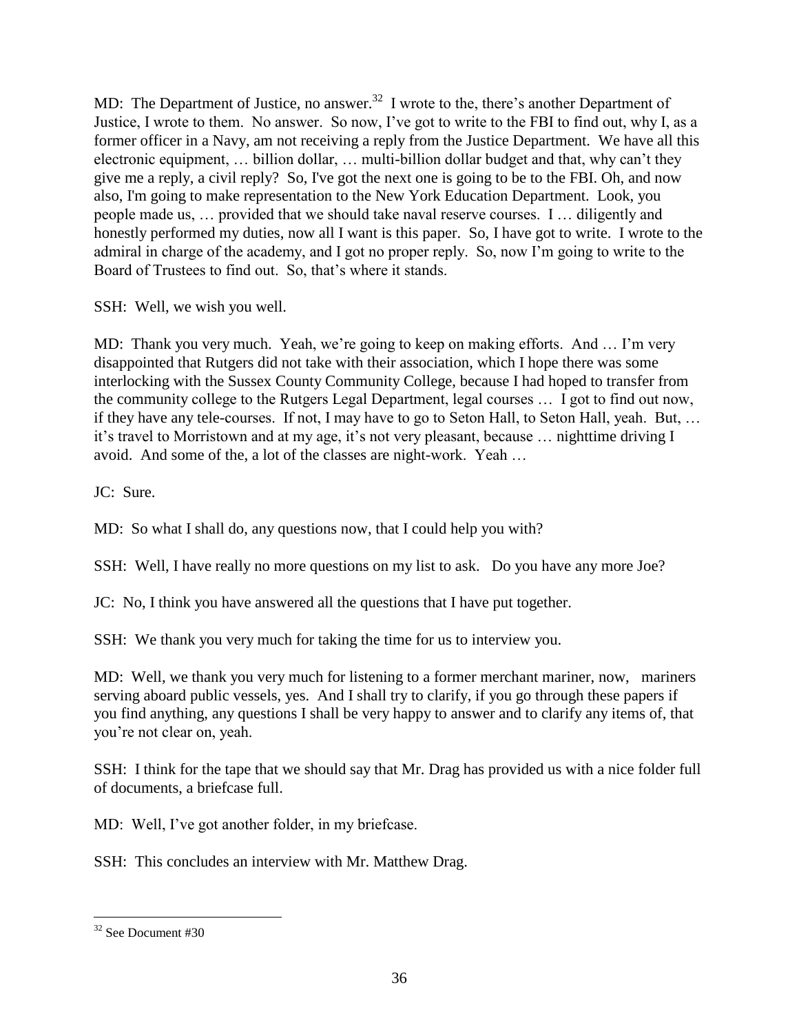MD: The Department of Justice, no answer.<sup>32</sup> I wrote to the, there's another Department of Justice, I wrote to them. No answer. So now, I've got to write to the FBI to find out, why I, as a former officer in a Navy, am not receiving a reply from the Justice Department. We have all this electronic equipment, … billion dollar, … multi-billion dollar budget and that, why can't they give me a reply, a civil reply? So, I've got the next one is going to be to the FBI. Oh, and now also, I'm going to make representation to the New York Education Department. Look, you people made us, … provided that we should take naval reserve courses. I … diligently and honestly performed my duties, now all I want is this paper. So, I have got to write. I wrote to the admiral in charge of the academy, and I got no proper reply. So, now I'm going to write to the Board of Trustees to find out. So, that's where it stands.

SSH: Well, we wish you well.

MD: Thank you very much. Yeah, we're going to keep on making efforts. And … I'm very disappointed that Rutgers did not take with their association, which I hope there was some interlocking with the Sussex County Community College, because I had hoped to transfer from the community college to the Rutgers Legal Department, legal courses … I got to find out now, if they have any tele-courses. If not, I may have to go to Seton Hall, to Seton Hall, yeah. But, … it's travel to Morristown and at my age, it's not very pleasant, because … nighttime driving I avoid. And some of the, a lot of the classes are night-work. Yeah …

JC: Sure.

MD: So what I shall do, any questions now, that I could help you with?

SSH: Well, I have really no more questions on my list to ask. Do you have any more Joe?

JC: No, I think you have answered all the questions that I have put together.

SSH: We thank you very much for taking the time for us to interview you.

MD: Well, we thank you very much for listening to a former merchant mariner, now, mariners serving aboard public vessels, yes. And I shall try to clarify, if you go through these papers if you find anything, any questions I shall be very happy to answer and to clarify any items of, that you're not clear on, yeah.

SSH: I think for the tape that we should say that Mr. Drag has provided us with a nice folder full of documents, a briefcase full.

MD: Well, I've got another folder, in my briefcase.

SSH: This concludes an interview with Mr. Matthew Drag.

 $\overline{a}$ <sup>32</sup> See Document #30